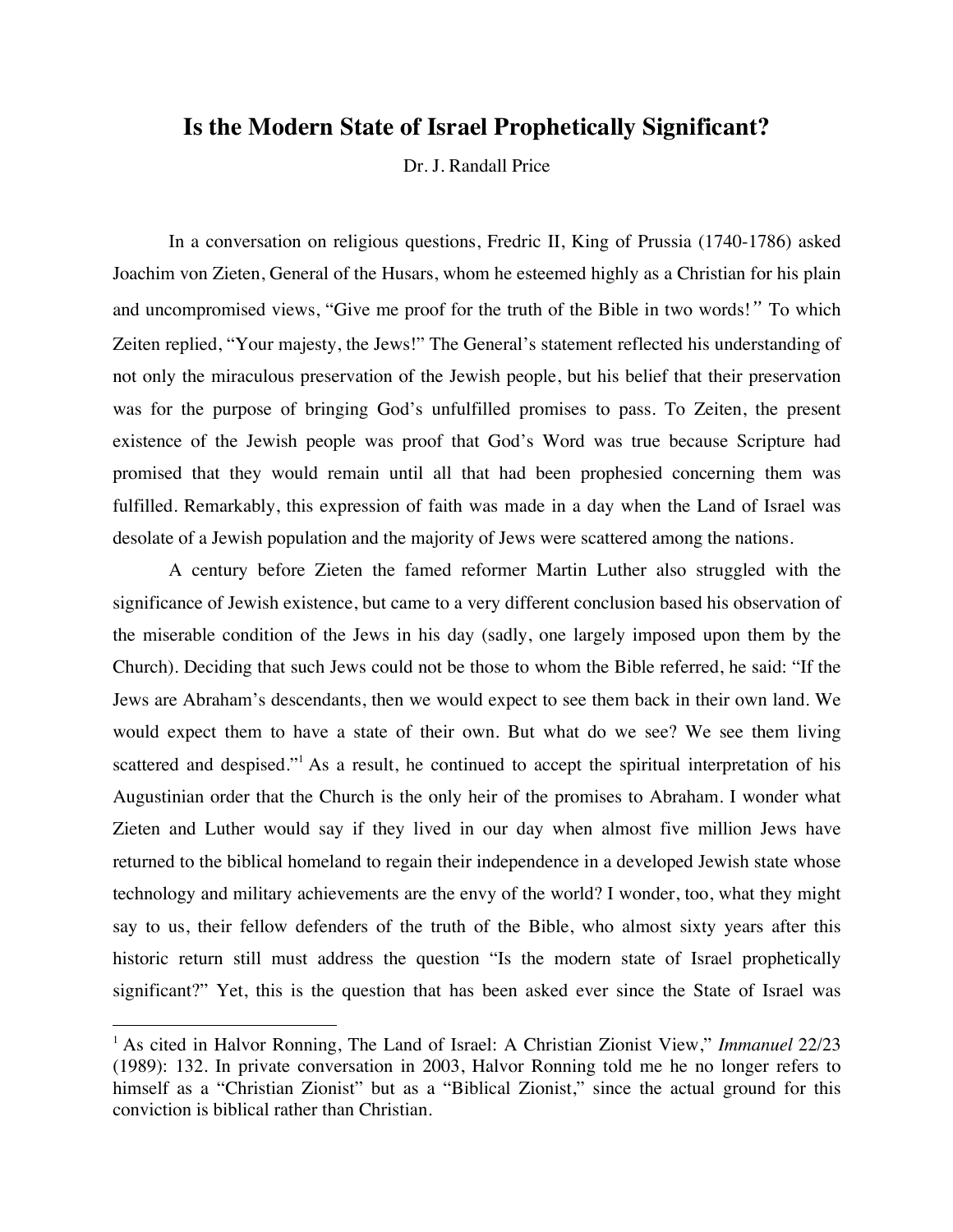# **Is the Modern State of Israel Prophetically Significant?**

Dr. J. Randall Price

In a conversation on religious questions, Fredric II, King of Prussia (1740-1786) asked Joachim von Zieten, General of the Husars, whom he esteemed highly as a Christian for his plain and uncompromised views, "Give me proof for the truth of the Bible in two words!*"* To which Zeiten replied, "Your majesty, the Jews!" The General's statement reflected his understanding of not only the miraculous preservation of the Jewish people, but his belief that their preservation was for the purpose of bringing God's unfulfilled promises to pass. To Zeiten, the present existence of the Jewish people was proof that God's Word was true because Scripture had promised that they would remain until all that had been prophesied concerning them was fulfilled. Remarkably, this expression of faith was made in a day when the Land of Israel was desolate of a Jewish population and the majority of Jews were scattered among the nations.

A century before Zieten the famed reformer Martin Luther also struggled with the significance of Jewish existence, but came to a very different conclusion based his observation of the miserable condition of the Jews in his day (sadly, one largely imposed upon them by the Church). Deciding that such Jews could not be those to whom the Bible referred, he said: "If the Jews are Abraham's descendants, then we would expect to see them back in their own land. We would expect them to have a state of their own. But what do we see? We see them living scattered and despised."<sup>1</sup> As a result, he continued to accept the spiritual interpretation of his Augustinian order that the Church is the only heir of the promises to Abraham. I wonder what Zieten and Luther would say if they lived in our day when almost five million Jews have returned to the biblical homeland to regain their independence in a developed Jewish state whose technology and military achievements are the envy of the world? I wonder, too, what they might say to us, their fellow defenders of the truth of the Bible, who almost sixty years after this historic return still must address the question "Is the modern state of Israel prophetically significant?" Yet, this is the question that has been asked ever since the State of Israel was

<sup>&</sup>lt;sup>1</sup> As cited in Halvor Ronning, The Land of Israel: A Christian Zionist View," *Immanuel* 22/23 (1989): 132. In private conversation in 2003, Halvor Ronning told me he no longer refers to himself as a "Christian Zionist" but as a "Biblical Zionist," since the actual ground for this conviction is biblical rather than Christian.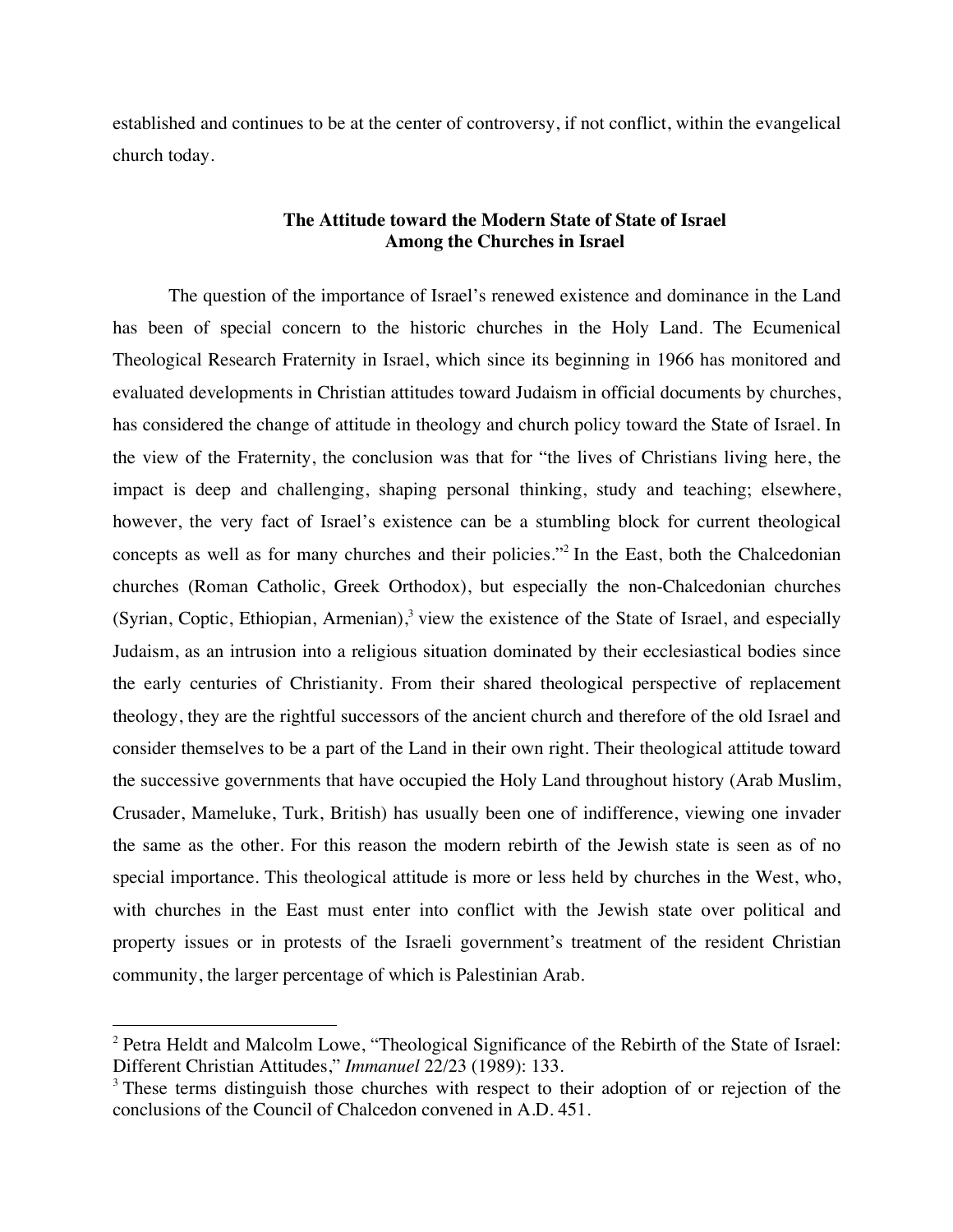established and continues to be at the center of controversy, if not conflict, within the evangelical church today.

# **The Attitude toward the Modern State of State of Israel Among the Churches in Israel**

The question of the importance of Israel's renewed existence and dominance in the Land has been of special concern to the historic churches in the Holy Land. The Ecumenical Theological Research Fraternity in Israel, which since its beginning in 1966 has monitored and evaluated developments in Christian attitudes toward Judaism in official documents by churches, has considered the change of attitude in theology and church policy toward the State of Israel. In the view of the Fraternity, the conclusion was that for "the lives of Christians living here, the impact is deep and challenging, shaping personal thinking, study and teaching; elsewhere, however, the very fact of Israel's existence can be a stumbling block for current theological concepts as well as for many churches and their policies."<sup>2</sup> In the East, both the Chalcedonian churches (Roman Catholic, Greek Orthodox), but especially the non-Chalcedonian churches (Syrian, Coptic, Ethiopian, Armenian), $3$  view the existence of the State of Israel, and especially Judaism, as an intrusion into a religious situation dominated by their ecclesiastical bodies since the early centuries of Christianity. From their shared theological perspective of replacement theology, they are the rightful successors of the ancient church and therefore of the old Israel and consider themselves to be a part of the Land in their own right. Their theological attitude toward the successive governments that have occupied the Holy Land throughout history (Arab Muslim, Crusader, Mameluke, Turk, British) has usually been one of indifference, viewing one invader the same as the other. For this reason the modern rebirth of the Jewish state is seen as of no special importance. This theological attitude is more or less held by churches in the West, who, with churches in the East must enter into conflict with the Jewish state over political and property issues or in protests of the Israeli government's treatment of the resident Christian community, the larger percentage of which is Palestinian Arab.

<sup>&</sup>lt;sup>2</sup> Petra Heldt and Malcolm Lowe, "Theological Significance of the Rebirth of the State of Israel: Different Christian Attitudes," *Immanuel* 22/23 (1989): 133.

<sup>&</sup>lt;sup>3</sup> These terms distinguish those churches with respect to their adoption of or rejection of the conclusions of the Council of Chalcedon convened in A.D. 451.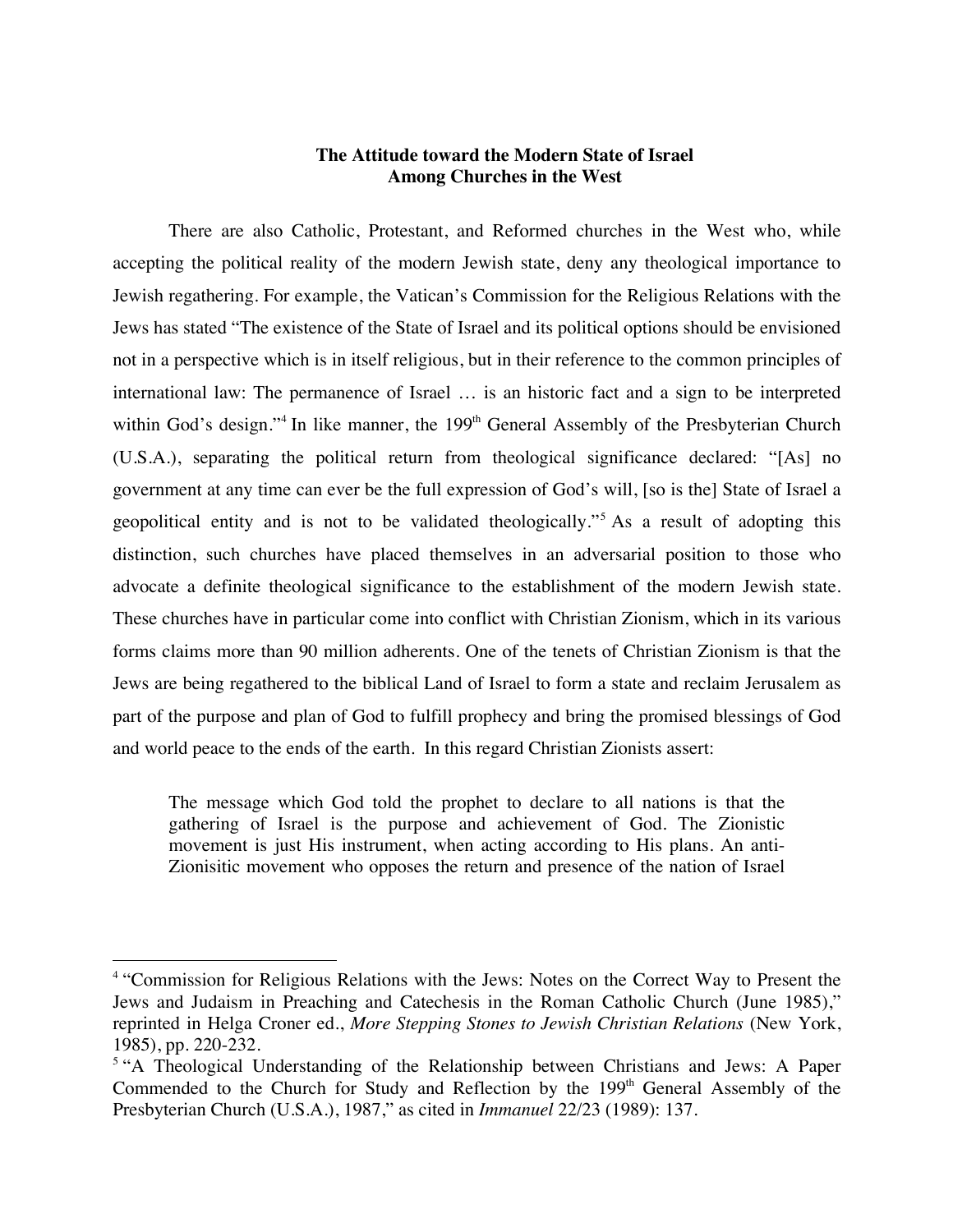# **The Attitude toward the Modern State of Israel Among Churches in the West**

There are also Catholic, Protestant, and Reformed churches in the West who, while accepting the political reality of the modern Jewish state, deny any theological importance to Jewish regathering. For example, the Vatican's Commission for the Religious Relations with the Jews has stated "The existence of the State of Israel and its political options should be envisioned not in a perspective which is in itself religious, but in their reference to the common principles of international law: The permanence of Israel … is an historic fact and a sign to be interpreted within God's design."<sup>4</sup> In like manner, the 199<sup>th</sup> General Assembly of the Presbyterian Church (U.S.A.), separating the political return from theological significance declared: "[As] no government at any time can ever be the full expression of God's will, [so is the] State of Israel a geopolitical entity and is not to be validated theologically."<sup>5</sup> As a result of adopting this distinction, such churches have placed themselves in an adversarial position to those who advocate a definite theological significance to the establishment of the modern Jewish state. These churches have in particular come into conflict with Christian Zionism, which in its various forms claims more than 90 million adherents. One of the tenets of Christian Zionism is that the Jews are being regathered to the biblical Land of Israel to form a state and reclaim Jerusalem as part of the purpose and plan of God to fulfill prophecy and bring the promised blessings of God and world peace to the ends of the earth. In this regard Christian Zionists assert:

The message which God told the prophet to declare to all nations is that the gathering of Israel is the purpose and achievement of God. The Zionistic movement is just His instrument, when acting according to His plans. An anti-Zionisitic movement who opposes the return and presence of the nation of Israel

<sup>&</sup>lt;sup>4</sup> "Commission for Religious Relations with the Jews: Notes on the Correct Way to Present the Jews and Judaism in Preaching and Catechesis in the Roman Catholic Church (June 1985)," reprinted in Helga Croner ed., *More Stepping Stones to Jewish Christian Relations* (New York, 1985), pp. 220-232.

<sup>&</sup>lt;sup>5</sup> "A Theological Understanding of the Relationship between Christians and Jews: A Paper Commended to the Church for Study and Reflection by the  $199<sup>th</sup>$  General Assembly of the Presbyterian Church (U.S.A.), 1987," as cited in *Immanuel* 22/23 (1989): 137.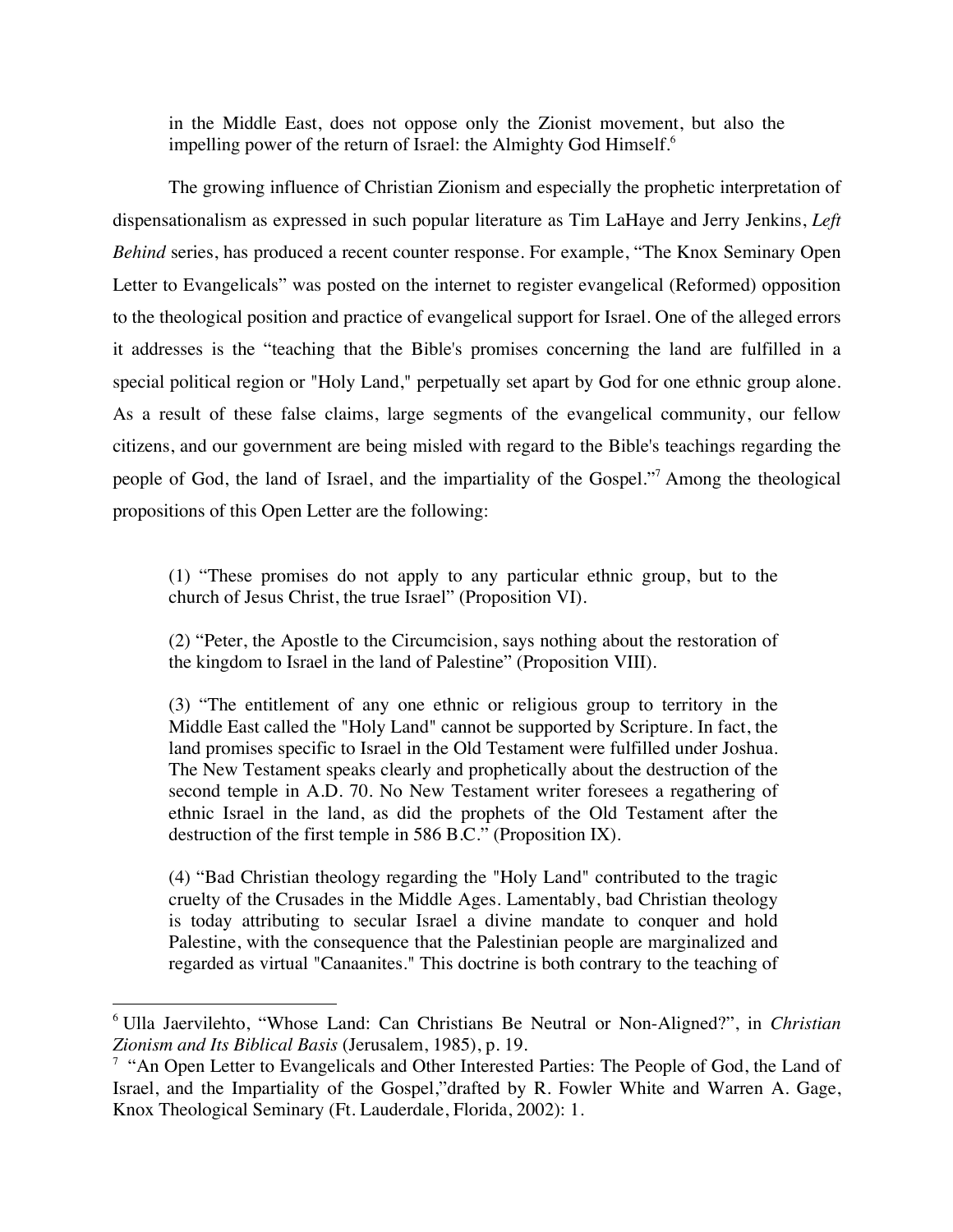in the Middle East, does not oppose only the Zionist movement, but also the impelling power of the return of Israel: the Almighty God Himself.<sup>6</sup>

The growing influence of Christian Zionism and especially the prophetic interpretation of dispensationalism as expressed in such popular literature as Tim LaHaye and Jerry Jenkins, *Left Behind* series, has produced a recent counter response. For example, "The Knox Seminary Open Letter to Evangelicals" was posted on the internet to register evangelical (Reformed) opposition to the theological position and practice of evangelical support for Israel. One of the alleged errors it addresses is the "teaching that the Bible's promises concerning the land are fulfilled in a special political region or "Holy Land," perpetually set apart by God for one ethnic group alone. As a result of these false claims, large segments of the evangelical community, our fellow citizens, and our government are being misled with regard to the Bible's teachings regarding the people of God, the land of Israel, and the impartiality of the Gospel."<sup>7</sup> Among the theological propositions of this Open Letter are the following:

(1) "These promises do not apply to any particular ethnic group, but to the church of Jesus Christ, the true Israel" (Proposition VI).

(2) "Peter, the Apostle to the Circumcision, says nothing about the restoration of the kingdom to Israel in the land of Palestine" (Proposition VIII).

(3) "The entitlement of any one ethnic or religious group to territory in the Middle East called the "Holy Land" cannot be supported by Scripture. In fact, the land promises specific to Israel in the Old Testament were fulfilled under Joshua. The New Testament speaks clearly and prophetically about the destruction of the second temple in A.D. 70. No New Testament writer foresees a regathering of ethnic Israel in the land, as did the prophets of the Old Testament after the destruction of the first temple in 586 B.C." (Proposition IX).

(4) "Bad Christian theology regarding the "Holy Land" contributed to the tragic cruelty of the Crusades in the Middle Ages. Lamentably, bad Christian theology is today attributing to secular Israel a divine mandate to conquer and hold Palestine, with the consequence that the Palestinian people are marginalized and regarded as virtual "Canaanites." This doctrine is both contrary to the teaching of

 <sup>6</sup> Ulla Jaervilehto, "Whose Land: Can Christians Be Neutral or Non-Aligned?", in *Christian Zionism and Its Biblical Basis* (Jerusalem, 1985), p. 19.

<sup>&</sup>lt;sup>7</sup> "An Open Letter to Evangelicals and Other Interested Parties: The People of God, the Land of Israel, and the Impartiality of the Gospel,"drafted by R. Fowler White and Warren A. Gage, Knox Theological Seminary (Ft. Lauderdale, Florida, 2002): 1.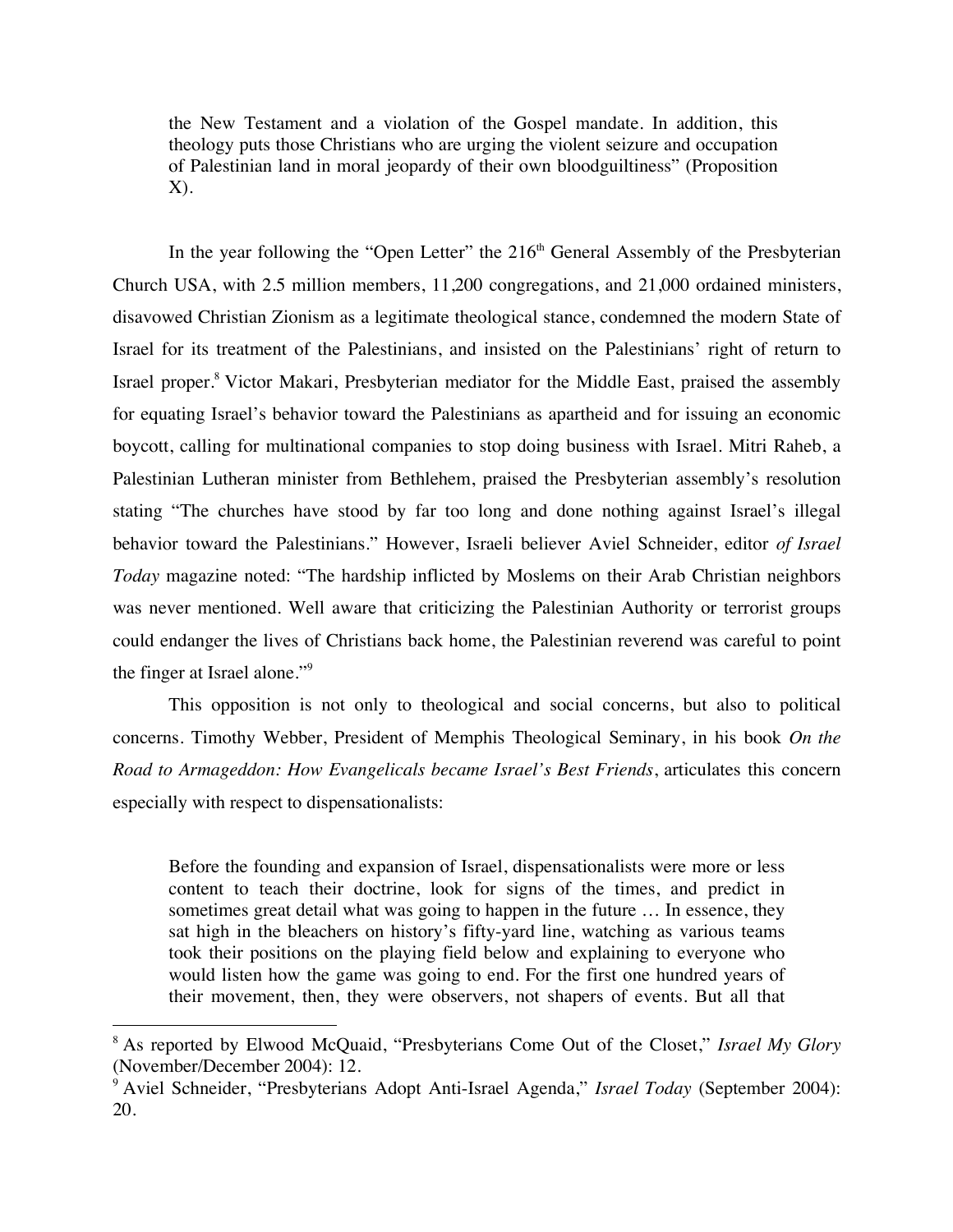the New Testament and a violation of the Gospel mandate. In addition, this theology puts those Christians who are urging the violent seizure and occupation of Palestinian land in moral jeopardy of their own bloodguiltiness" (Proposition X).

In the year following the "Open Letter" the  $216<sup>th</sup>$  General Assembly of the Presbyterian Church USA, with 2.5 million members, 11,200 congregations, and 21,000 ordained ministers, disavowed Christian Zionism as a legitimate theological stance, condemned the modern State of Israel for its treatment of the Palestinians, and insisted on the Palestinians' right of return to Israel proper.8 Victor Makari, Presbyterian mediator for the Middle East, praised the assembly for equating Israel's behavior toward the Palestinians as apartheid and for issuing an economic boycott, calling for multinational companies to stop doing business with Israel. Mitri Raheb, a Palestinian Lutheran minister from Bethlehem, praised the Presbyterian assembly's resolution stating "The churches have stood by far too long and done nothing against Israel's illegal behavior toward the Palestinians." However, Israeli believer Aviel Schneider, editor *of Israel Today* magazine noted: "The hardship inflicted by Moslems on their Arab Christian neighbors was never mentioned. Well aware that criticizing the Palestinian Authority or terrorist groups could endanger the lives of Christians back home, the Palestinian reverend was careful to point the finger at Israel alone."<sup>9</sup>

This opposition is not only to theological and social concerns, but also to political concerns. Timothy Webber, President of Memphis Theological Seminary, in his book *On the Road to Armageddon: How Evangelicals became Israel's Best Friends*, articulates this concern especially with respect to dispensationalists:

Before the founding and expansion of Israel, dispensationalists were more or less content to teach their doctrine, look for signs of the times, and predict in sometimes great detail what was going to happen in the future … In essence, they sat high in the bleachers on history's fifty-yard line, watching as various teams took their positions on the playing field below and explaining to everyone who would listen how the game was going to end. For the first one hundred years of their movement, then, they were observers, not shapers of events. But all that

 <sup>8</sup> As reported by Elwood McQuaid, "Presbyterians Come Out of the Closet," *Israel My Glory* (November/December 2004): 12.

<sup>9</sup> Aviel Schneider, "Presbyterians Adopt Anti-Israel Agenda," *Israel Today* (September 2004): 20.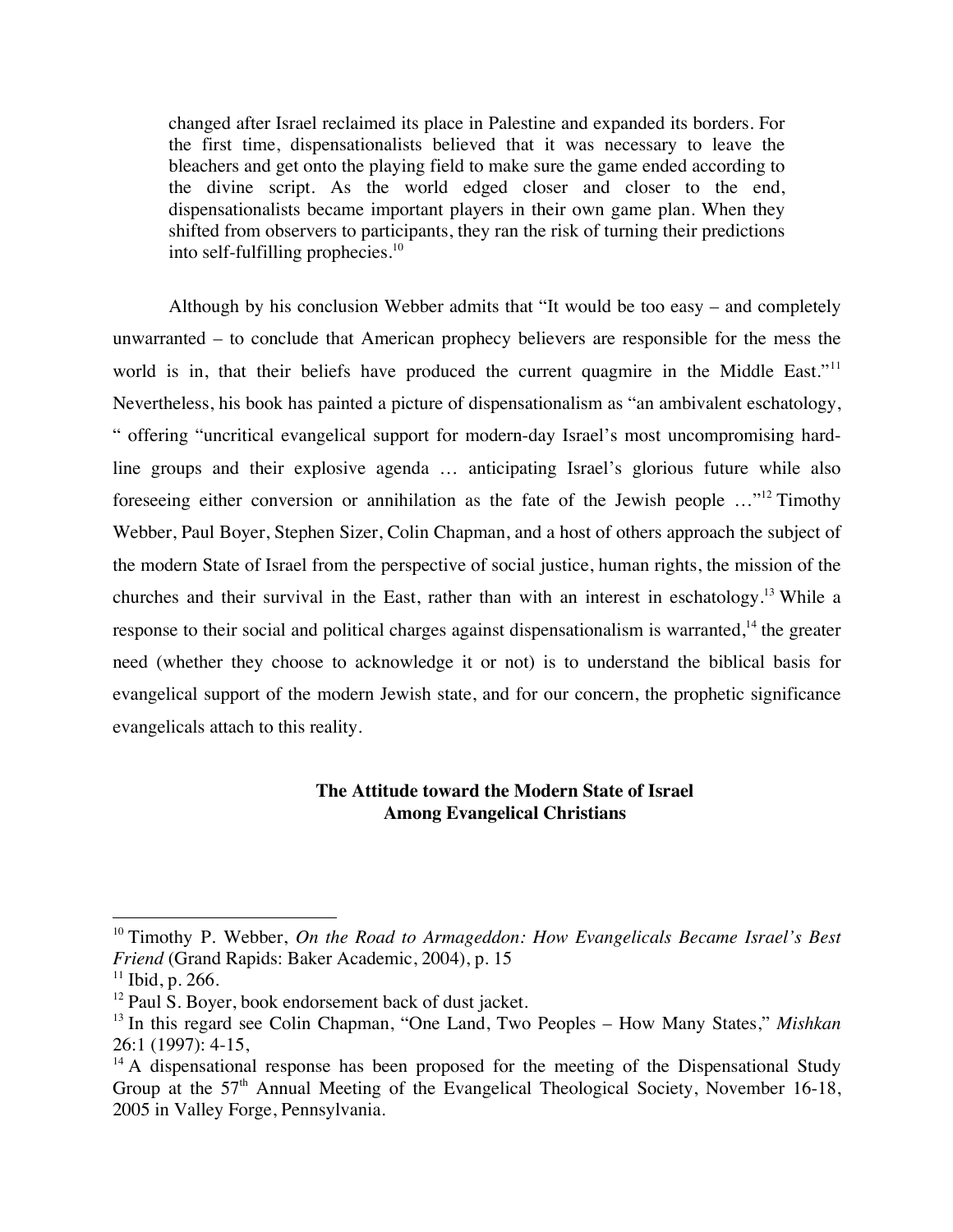changed after Israel reclaimed its place in Palestine and expanded its borders. For the first time, dispensationalists believed that it was necessary to leave the bleachers and get onto the playing field to make sure the game ended according to the divine script. As the world edged closer and closer to the end, dispensationalists became important players in their own game plan. When they shifted from observers to participants, they ran the risk of turning their predictions into self-fulfilling prophecies. $10$ 

Although by his conclusion Webber admits that "It would be too easy – and completely unwarranted – to conclude that American prophecy believers are responsible for the mess the world is in, that their beliefs have produced the current quagmire in the Middle East."<sup>11</sup> Nevertheless, his book has painted a picture of dispensationalism as "an ambivalent eschatology, " offering "uncritical evangelical support for modern-day Israel's most uncompromising hardline groups and their explosive agenda … anticipating Israel's glorious future while also foreseeing either conversion or annihilation as the fate of the Jewish people …"12 Timothy Webber, Paul Boyer, Stephen Sizer, Colin Chapman, and a host of others approach the subject of the modern State of Israel from the perspective of social justice, human rights, the mission of the churches and their survival in the East, rather than with an interest in eschatology.13 While a response to their social and political charges against dispensationalism is warranted,<sup>14</sup> the greater need (whether they choose to acknowledge it or not) is to understand the biblical basis for evangelical support of the modern Jewish state, and for our concern, the prophetic significance evangelicals attach to this reality.

# **The Attitude toward the Modern State of Israel Among Evangelical Christians**

<sup>&</sup>lt;sup>10</sup> Timothy P. Webber, *On the Road to Armageddon: How Evangelicals Became Israel's Best Friend* (Grand Rapids: Baker Academic, 2004), p. 15

 $11$  Ibid, p. 266.

<sup>&</sup>lt;sup>12</sup> Paul S. Boyer, book endorsement back of dust jacket.

<sup>13</sup> In this regard see Colin Chapman, "One Land, Two Peoples – How Many States," *Mishkan* 26:1 (1997): 4-15,

 $14$  A dispensational response has been proposed for the meeting of the Dispensational Study Group at the  $57<sup>th</sup>$  Annual Meeting of the Evangelical Theological Society, November 16-18, 2005 in Valley Forge, Pennsylvania.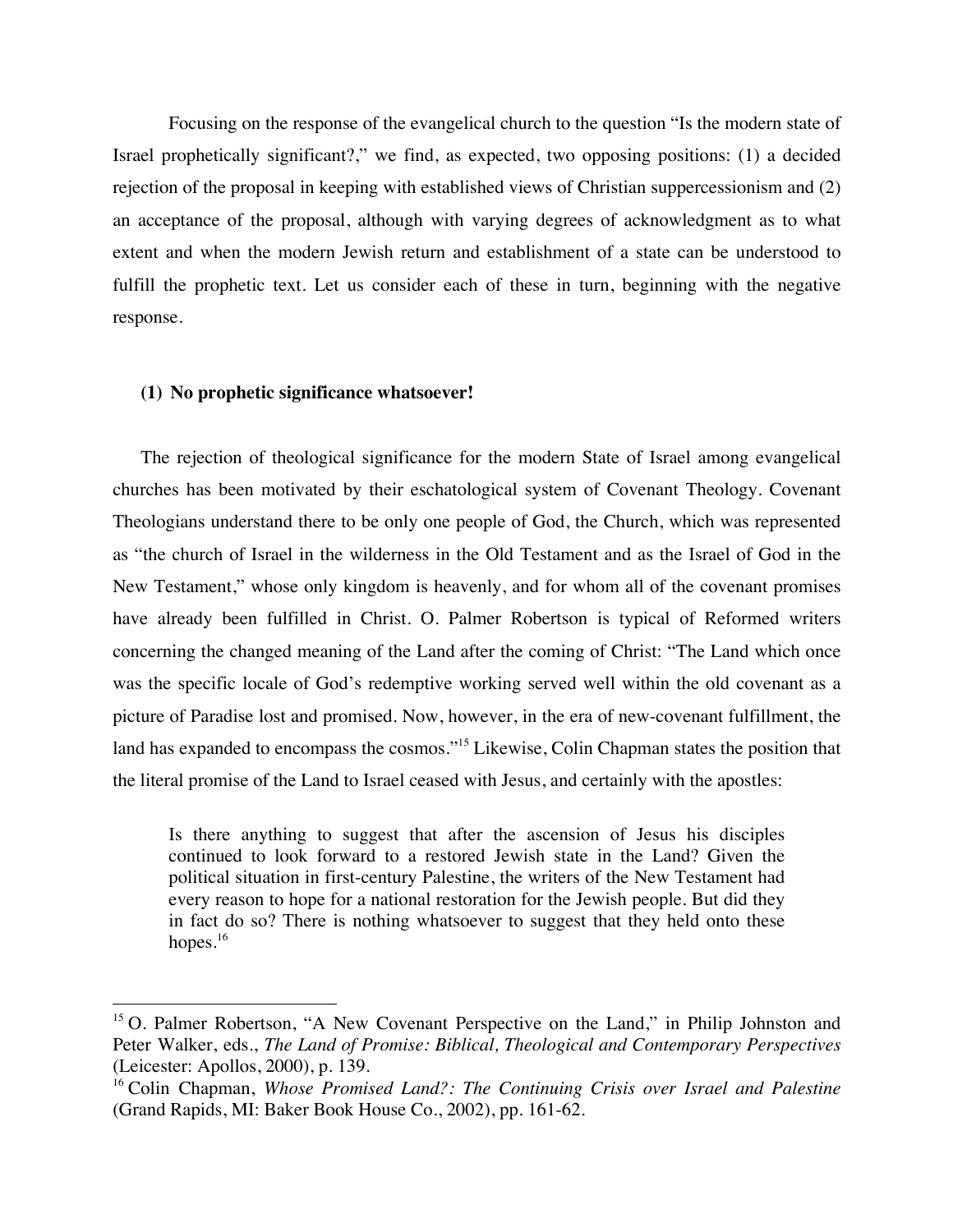Focusing on the response of the evangelical church to the question "Is the modern state of Israel prophetically significant?," we find, as expected, two opposing positions: (1) a decided rejection of the proposal in keeping with established views of Christian suppercessionism and (2) an acceptance of the proposal, although with varying degrees of acknowledgment as to what extent and when the modern Jewish return and establishment of a state can be understood to fulfill the prophetic text. Let us consider each of these in turn, beginning with the negative response.

#### **(1) No prophetic significance whatsoever!**

The rejection of theological significance for the modern State of Israel among evangelical churches has been motivated by their eschatological system of Covenant Theology. Covenant Theologians understand there to be only one people of God, the Church, which was represented as "the church of Israel in the wilderness in the Old Testament and as the Israel of God in the New Testament," whose only kingdom is heavenly, and for whom all of the covenant promises have already been fulfilled in Christ. O. Palmer Robertson is typical of Reformed writers concerning the changed meaning of the Land after the coming of Christ: "The Land which once was the specific locale of God's redemptive working served well within the old covenant as a picture of Paradise lost and promised. Now, however, in the era of new-covenant fulfillment, the land has expanded to encompass the cosmos."<sup>15</sup> Likewise, Colin Chapman states the position that the literal promise of the Land to Israel ceased with Jesus, and certainly with the apostles:

Is there anything to suggest that after the ascension of Jesus his disciples continued to look forward to a restored Jewish state in the Land? Given the political situation in first-century Palestine, the writers of the New Testament had every reason to hope for a national restoration for the Jewish people. But did they in fact do so? There is nothing whatsoever to suggest that they held onto these hopes. $16$ 

<sup>&</sup>lt;sup>15</sup> O. Palmer Robertson, "A New Covenant Perspective on the Land," in Philip Johnston and Peter Walker, eds., *The Land of Promise: Biblical, Theological and Contemporary Perspectives* (Leicester: Apollos, 2000), p. 139.

<sup>16</sup> Colin Chapman, *Whose Promised Land?: The Continuing Crisis over Israel and Palestine* (Grand Rapids, MI: Baker Book House Co., 2002), pp. 161-62.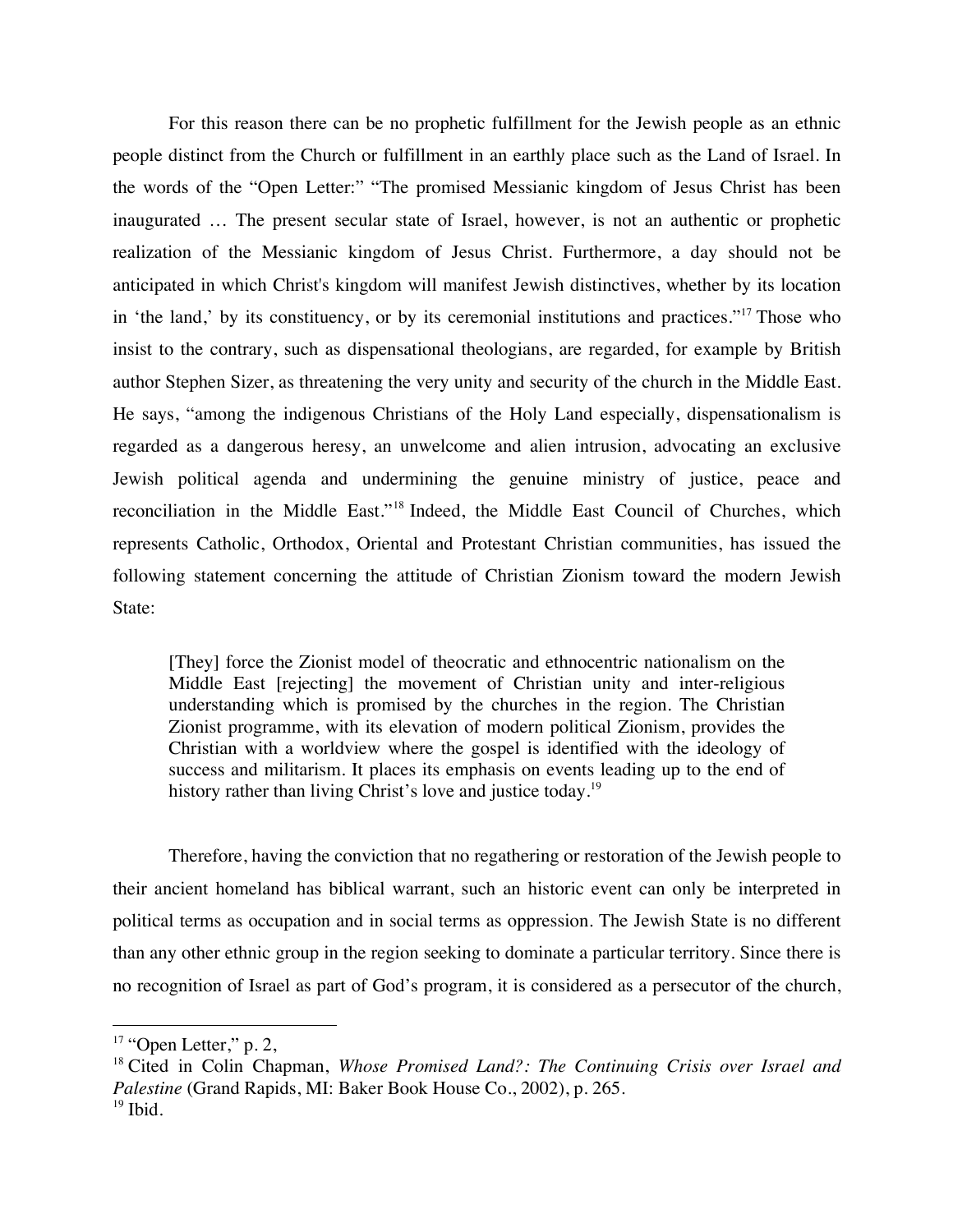For this reason there can be no prophetic fulfillment for the Jewish people as an ethnic people distinct from the Church or fulfillment in an earthly place such as the Land of Israel. In the words of the "Open Letter:" "The promised Messianic kingdom of Jesus Christ has been inaugurated … The present secular state of Israel, however, is not an authentic or prophetic realization of the Messianic kingdom of Jesus Christ. Furthermore, a day should not be anticipated in which Christ's kingdom will manifest Jewish distinctives, whether by its location in 'the land,' by its constituency, or by its ceremonial institutions and practices."<sup>17</sup> Those who insist to the contrary, such as dispensational theologians, are regarded, for example by British author Stephen Sizer, as threatening the very unity and security of the church in the Middle East. He says, "among the indigenous Christians of the Holy Land especially, dispensationalism is regarded as a dangerous heresy, an unwelcome and alien intrusion, advocating an exclusive Jewish political agenda and undermining the genuine ministry of justice, peace and reconciliation in the Middle East."<sup>18</sup> Indeed, the Middle East Council of Churches, which represents Catholic, Orthodox, Oriental and Protestant Christian communities, has issued the following statement concerning the attitude of Christian Zionism toward the modern Jewish State:

[They] force the Zionist model of theocratic and ethnocentric nationalism on the Middle East [rejecting] the movement of Christian unity and inter-religious understanding which is promised by the churches in the region. The Christian Zionist programme, with its elevation of modern political Zionism, provides the Christian with a worldview where the gospel is identified with the ideology of success and militarism. It places its emphasis on events leading up to the end of history rather than living Christ's love and justice today.<sup>19</sup>

Therefore, having the conviction that no regathering or restoration of the Jewish people to their ancient homeland has biblical warrant, such an historic event can only be interpreted in political terms as occupation and in social terms as oppression. The Jewish State is no different than any other ethnic group in the region seeking to dominate a particular territory. Since there is no recognition of Israel as part of God's program, it is considered as a persecutor of the church,

 $17$  "Open Letter," p. 2,

<sup>18</sup> Cited in Colin Chapman, *Whose Promised Land?: The Continuing Crisis over Israel and Palestine* (Grand Rapids, MI: Baker Book House Co., 2002), p. 265.  $19$  Ibid.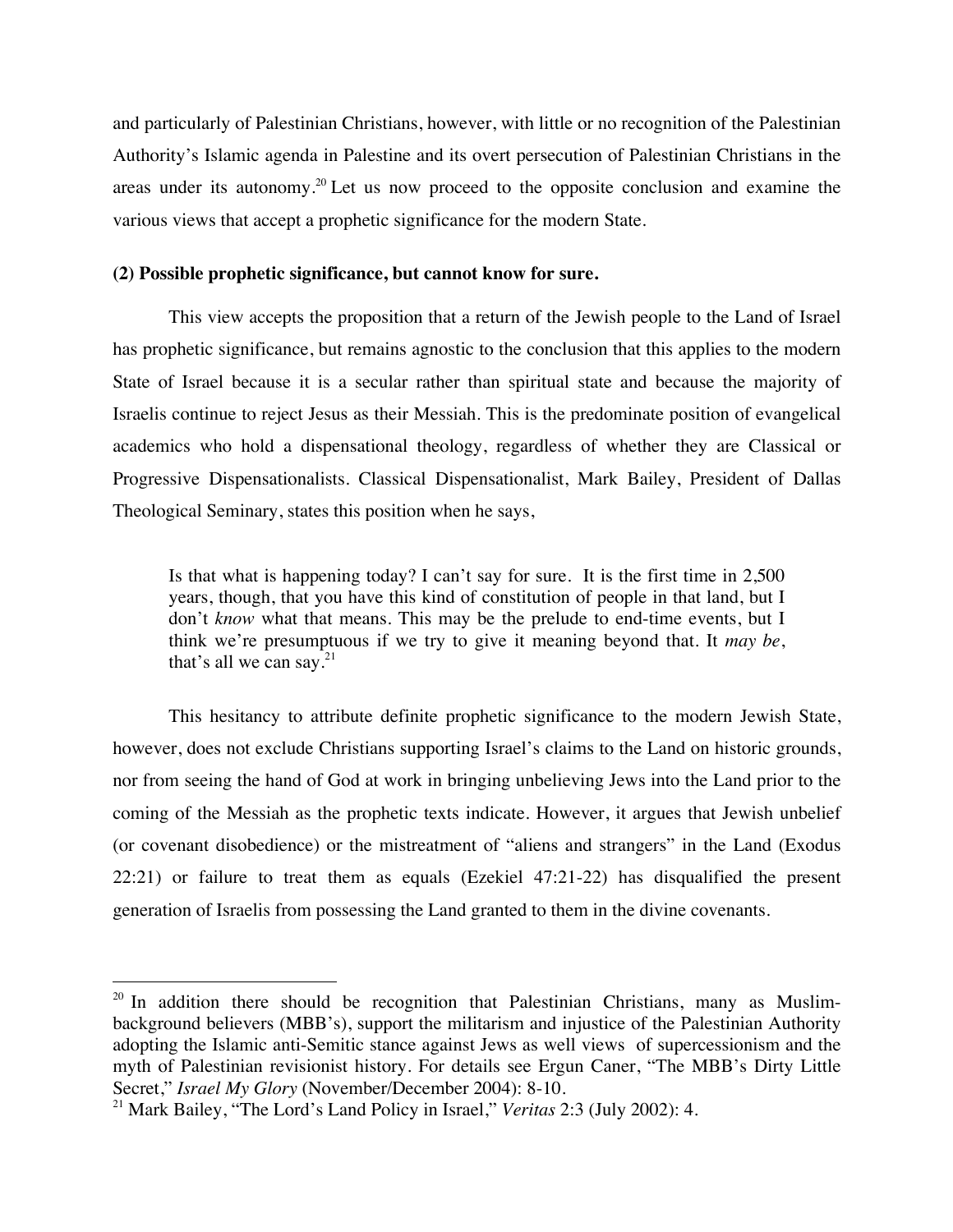and particularly of Palestinian Christians, however, with little or no recognition of the Palestinian Authority's Islamic agenda in Palestine and its overt persecution of Palestinian Christians in the areas under its autonomy.<sup>20</sup> Let us now proceed to the opposite conclusion and examine the various views that accept a prophetic significance for the modern State.

# **(2) Possible prophetic significance, but cannot know for sure.**

This view accepts the proposition that a return of the Jewish people to the Land of Israel has prophetic significance, but remains agnostic to the conclusion that this applies to the modern State of Israel because it is a secular rather than spiritual state and because the majority of Israelis continue to reject Jesus as their Messiah. This is the predominate position of evangelical academics who hold a dispensational theology, regardless of whether they are Classical or Progressive Dispensationalists. Classical Dispensationalist, Mark Bailey, President of Dallas Theological Seminary, states this position when he says,

Is that what is happening today? I can't say for sure. It is the first time in 2,500 years, though, that you have this kind of constitution of people in that land, but I don't *know* what that means. This may be the prelude to end-time events, but I think we're presumptuous if we try to give it meaning beyond that. It *may be*, that's all we can say.<sup>21</sup>

This hesitancy to attribute definite prophetic significance to the modern Jewish State, however, does not exclude Christians supporting Israel's claims to the Land on historic grounds, nor from seeing the hand of God at work in bringing unbelieving Jews into the Land prior to the coming of the Messiah as the prophetic texts indicate. However, it argues that Jewish unbelief (or covenant disobedience) or the mistreatment of "aliens and strangers" in the Land (Exodus 22:21) or failure to treat them as equals (Ezekiel 47:21-22) has disqualified the present generation of Israelis from possessing the Land granted to them in the divine covenants.

 $20$  In addition there should be recognition that Palestinian Christians, many as Muslimbackground believers (MBB's), support the militarism and injustice of the Palestinian Authority adopting the Islamic anti-Semitic stance against Jews as well views of supercessionism and the myth of Palestinian revisionist history. For details see Ergun Caner, "The MBB's Dirty Little Secret," *Israel My Glory* (November/December 2004): 8-10.

<sup>21</sup> Mark Bailey, "The Lord's Land Policy in Israel," *Veritas* 2:3 (July 2002): 4.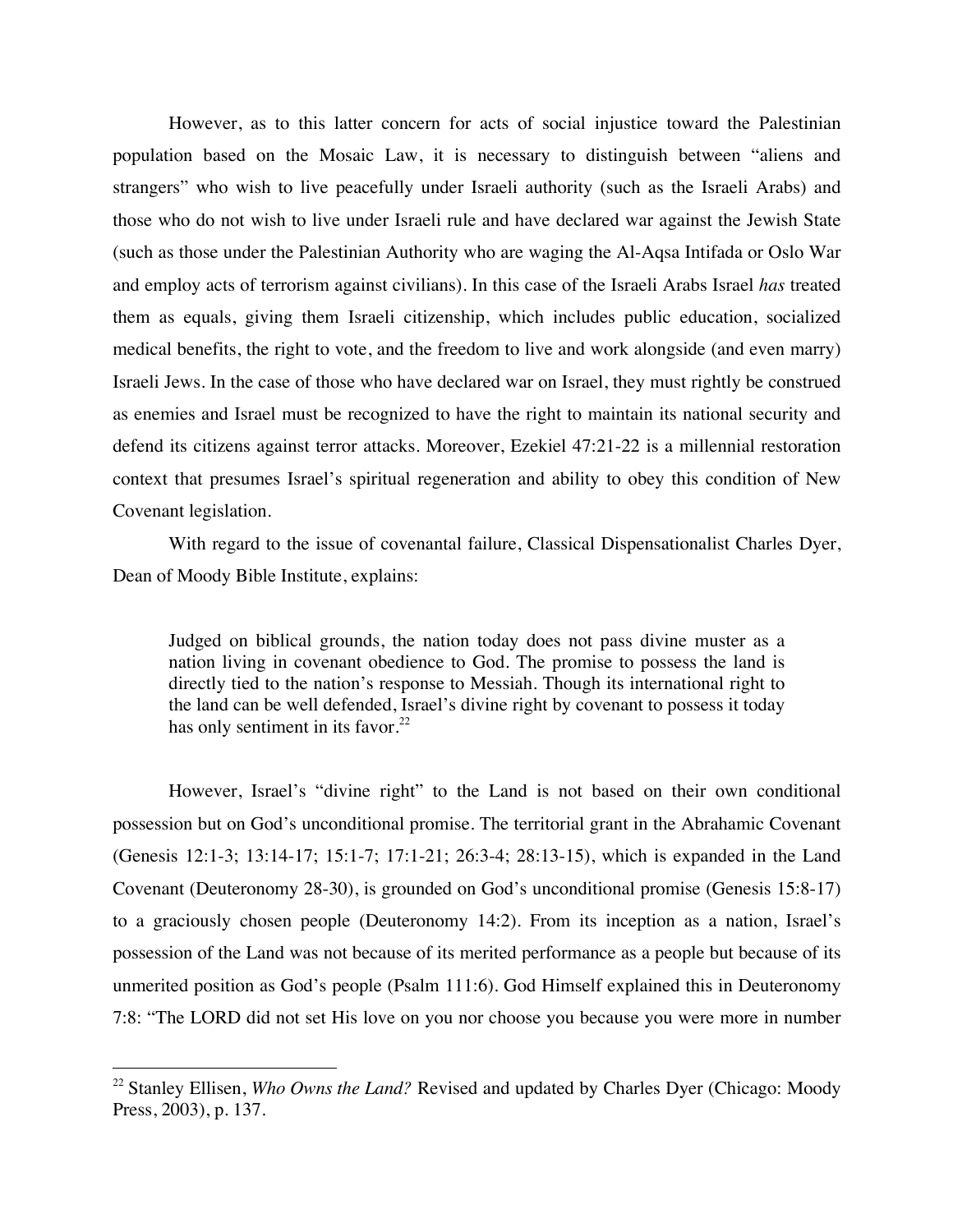However, as to this latter concern for acts of social injustice toward the Palestinian population based on the Mosaic Law, it is necessary to distinguish between "aliens and strangers" who wish to live peacefully under Israeli authority (such as the Israeli Arabs) and those who do not wish to live under Israeli rule and have declared war against the Jewish State (such as those under the Palestinian Authority who are waging the Al-Aqsa Intifada or Oslo War and employ acts of terrorism against civilians). In this case of the Israeli Arabs Israel *has* treated them as equals, giving them Israeli citizenship, which includes public education, socialized medical benefits, the right to vote, and the freedom to live and work alongside (and even marry) Israeli Jews. In the case of those who have declared war on Israel, they must rightly be construed as enemies and Israel must be recognized to have the right to maintain its national security and defend its citizens against terror attacks. Moreover, Ezekiel 47:21-22 is a millennial restoration context that presumes Israel's spiritual regeneration and ability to obey this condition of New Covenant legislation.

With regard to the issue of covenantal failure, Classical Dispensationalist Charles Dyer, Dean of Moody Bible Institute, explains:

Judged on biblical grounds, the nation today does not pass divine muster as a nation living in covenant obedience to God. The promise to possess the land is directly tied to the nation's response to Messiah. Though its international right to the land can be well defended, Israel's divine right by covenant to possess it today has only sentiment in its favor. $22$ 

However, Israel's "divine right" to the Land is not based on their own conditional possession but on God's unconditional promise. The territorial grant in the Abrahamic Covenant (Genesis 12:1-3; 13:14-17; 15:1-7; 17:1-21; 26:3-4; 28:13-15), which is expanded in the Land Covenant (Deuteronomy 28-30), is grounded on God's unconditional promise (Genesis 15:8-17) to a graciously chosen people (Deuteronomy 14:2). From its inception as a nation, Israel's possession of the Land was not because of its merited performance as a people but because of its unmerited position as God's people (Psalm 111:6). God Himself explained this in Deuteronomy 7:8: "The LORD did not set His love on you nor choose you because you were more in number

<sup>&</sup>lt;sup>22</sup> Stanley Ellisen, *Who Owns the Land?* Revised and updated by Charles Dyer (Chicago: Moody Press, 2003), p. 137.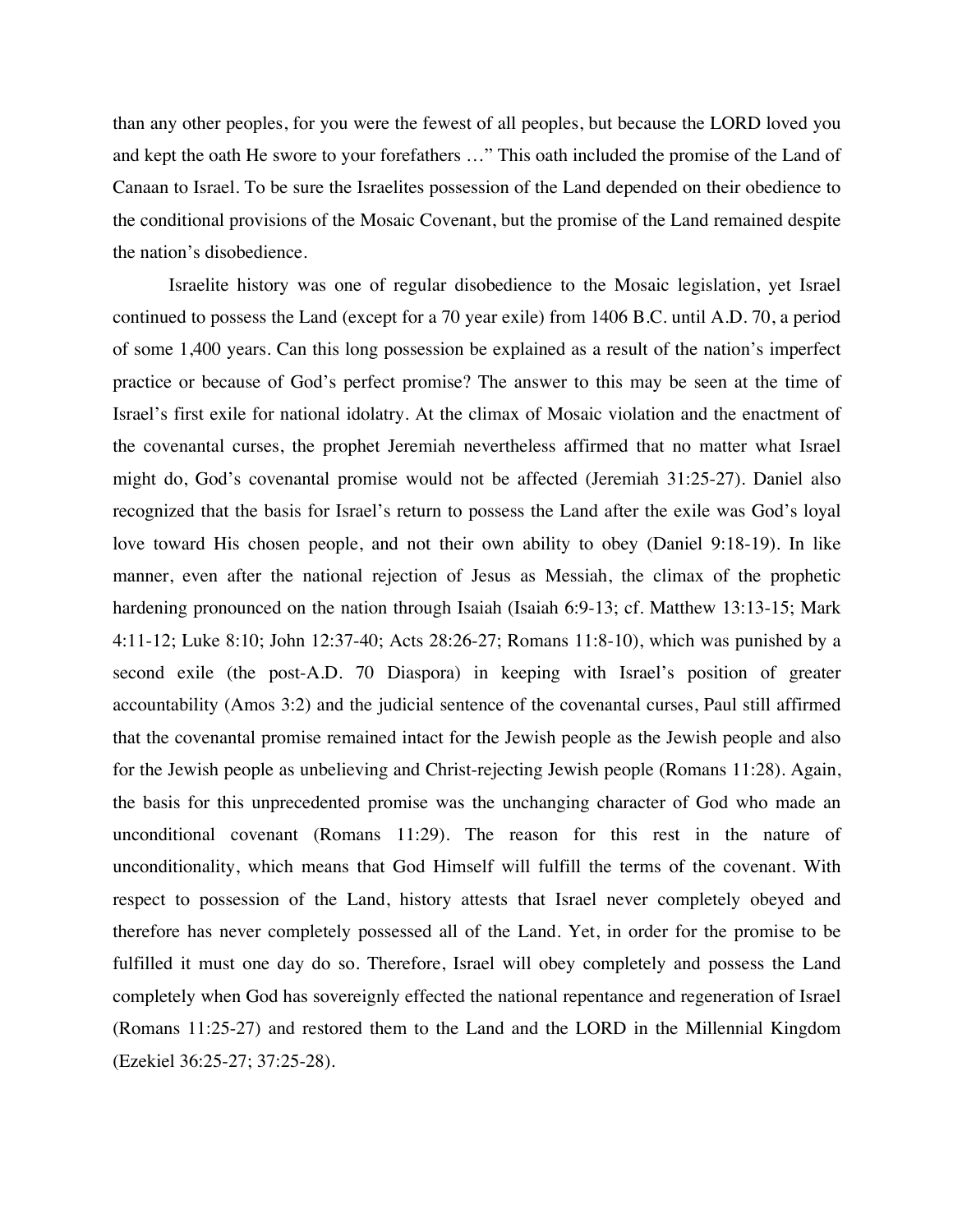than any other peoples, for you were the fewest of all peoples, but because the LORD loved you and kept the oath He swore to your forefathers …" This oath included the promise of the Land of Canaan to Israel. To be sure the Israelites possession of the Land depended on their obedience to the conditional provisions of the Mosaic Covenant, but the promise of the Land remained despite the nation's disobedience.

Israelite history was one of regular disobedience to the Mosaic legislation, yet Israel continued to possess the Land (except for a 70 year exile) from 1406 B.C. until A.D. 70, a period of some 1,400 years. Can this long possession be explained as a result of the nation's imperfect practice or because of God's perfect promise? The answer to this may be seen at the time of Israel's first exile for national idolatry. At the climax of Mosaic violation and the enactment of the covenantal curses, the prophet Jeremiah nevertheless affirmed that no matter what Israel might do, God's covenantal promise would not be affected (Jeremiah 31:25-27). Daniel also recognized that the basis for Israel's return to possess the Land after the exile was God's loyal love toward His chosen people, and not their own ability to obey (Daniel 9:18-19). In like manner, even after the national rejection of Jesus as Messiah, the climax of the prophetic hardening pronounced on the nation through Isaiah (Isaiah 6:9-13; cf. Matthew 13:13-15; Mark 4:11-12; Luke 8:10; John 12:37-40; Acts 28:26-27; Romans 11:8-10), which was punished by a second exile (the post-A.D. 70 Diaspora) in keeping with Israel's position of greater accountability (Amos 3:2) and the judicial sentence of the covenantal curses, Paul still affirmed that the covenantal promise remained intact for the Jewish people as the Jewish people and also for the Jewish people as unbelieving and Christ-rejecting Jewish people (Romans 11:28). Again, the basis for this unprecedented promise was the unchanging character of God who made an unconditional covenant (Romans 11:29). The reason for this rest in the nature of unconditionality, which means that God Himself will fulfill the terms of the covenant. With respect to possession of the Land, history attests that Israel never completely obeyed and therefore has never completely possessed all of the Land. Yet, in order for the promise to be fulfilled it must one day do so. Therefore, Israel will obey completely and possess the Land completely when God has sovereignly effected the national repentance and regeneration of Israel (Romans 11:25-27) and restored them to the Land and the LORD in the Millennial Kingdom (Ezekiel 36:25-27; 37:25-28).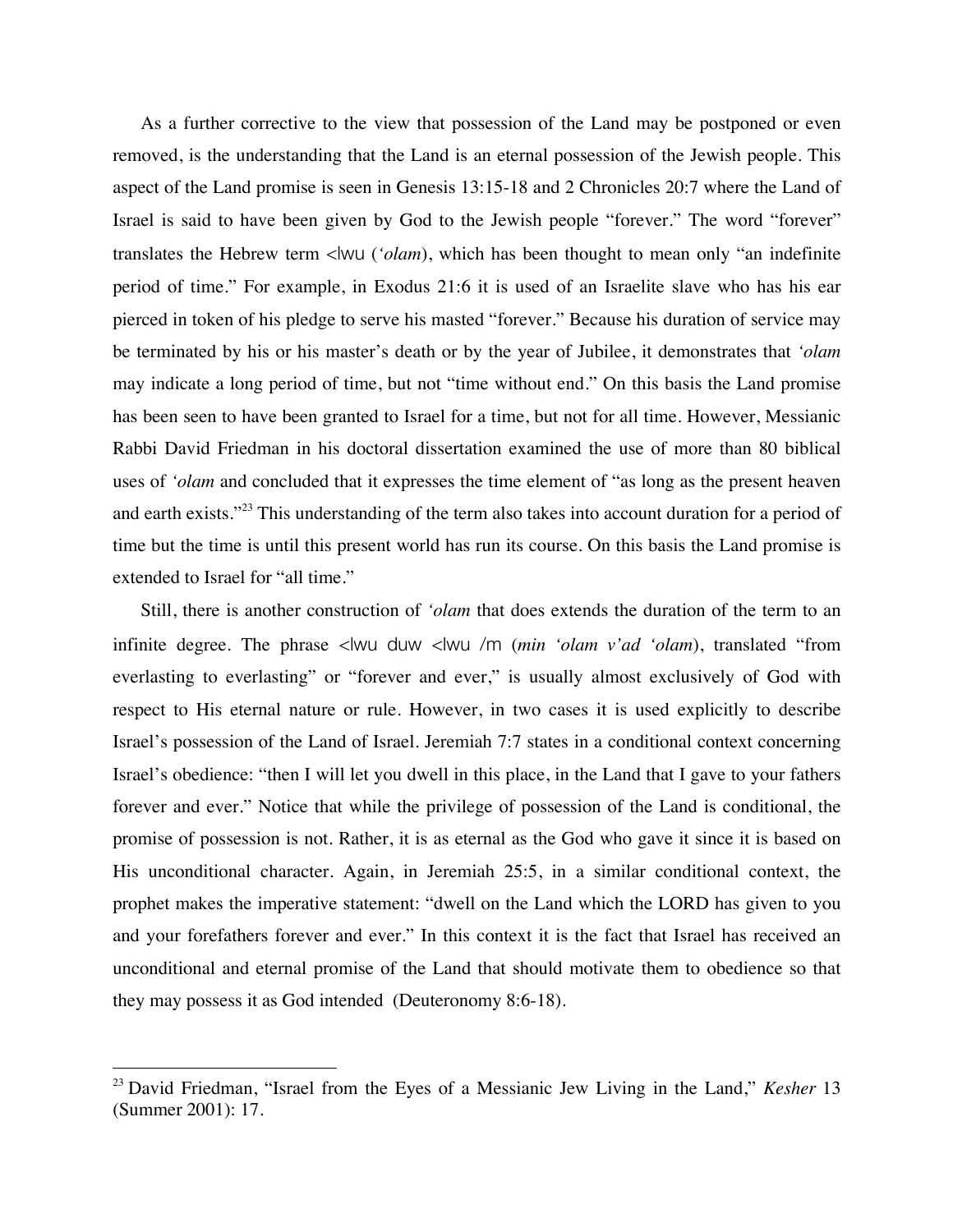As a further corrective to the view that possession of the Land may be postponed or even removed, is the understanding that the Land is an eternal possession of the Jewish people. This aspect of the Land promise is seen in Genesis 13:15-18 and 2 Chronicles 20:7 where the Land of Israel is said to have been given by God to the Jewish people "forever." The word "forever" translates the Hebrew term <lwu (*'olam*), which has been thought to mean only "an indefinite period of time." For example, in Exodus 21:6 it is used of an Israelite slave who has his ear pierced in token of his pledge to serve his masted "forever." Because his duration of service may be terminated by his or his master's death or by the year of Jubilee, it demonstrates that *'olam*  may indicate a long period of time, but not "time without end." On this basis the Land promise has been seen to have been granted to Israel for a time, but not for all time. However, Messianic Rabbi David Friedman in his doctoral dissertation examined the use of more than 80 biblical uses of *'olam* and concluded that it expresses the time element of "as long as the present heaven and earth exists."<sup>23</sup> This understanding of the term also takes into account duration for a period of time but the time is until this present world has run its course. On this basis the Land promise is extended to Israel for "all time."

Still, there is another construction of *'olam* that does extends the duration of the term to an infinite degree. The phrase <lwu duw <lwu /m (*min 'olam v'ad 'olam*), translated "from everlasting to everlasting" or "forever and ever," is usually almost exclusively of God with respect to His eternal nature or rule. However, in two cases it is used explicitly to describe Israel's possession of the Land of Israel. Jeremiah 7:7 states in a conditional context concerning Israel's obedience: "then I will let you dwell in this place, in the Land that I gave to your fathers forever and ever." Notice that while the privilege of possession of the Land is conditional, the promise of possession is not. Rather, it is as eternal as the God who gave it since it is based on His unconditional character. Again, in Jeremiah 25:5, in a similar conditional context, the prophet makes the imperative statement: "dwell on the Land which the LORD has given to you and your forefathers forever and ever." In this context it is the fact that Israel has received an unconditional and eternal promise of the Land that should motivate them to obedience so that they may possess it as God intended (Deuteronomy 8:6-18).

 <sup>23</sup> David Friedman, "Israel from the Eyes of a Messianic Jew Living in the Land," *Kesher* <sup>13</sup> (Summer 2001): 17.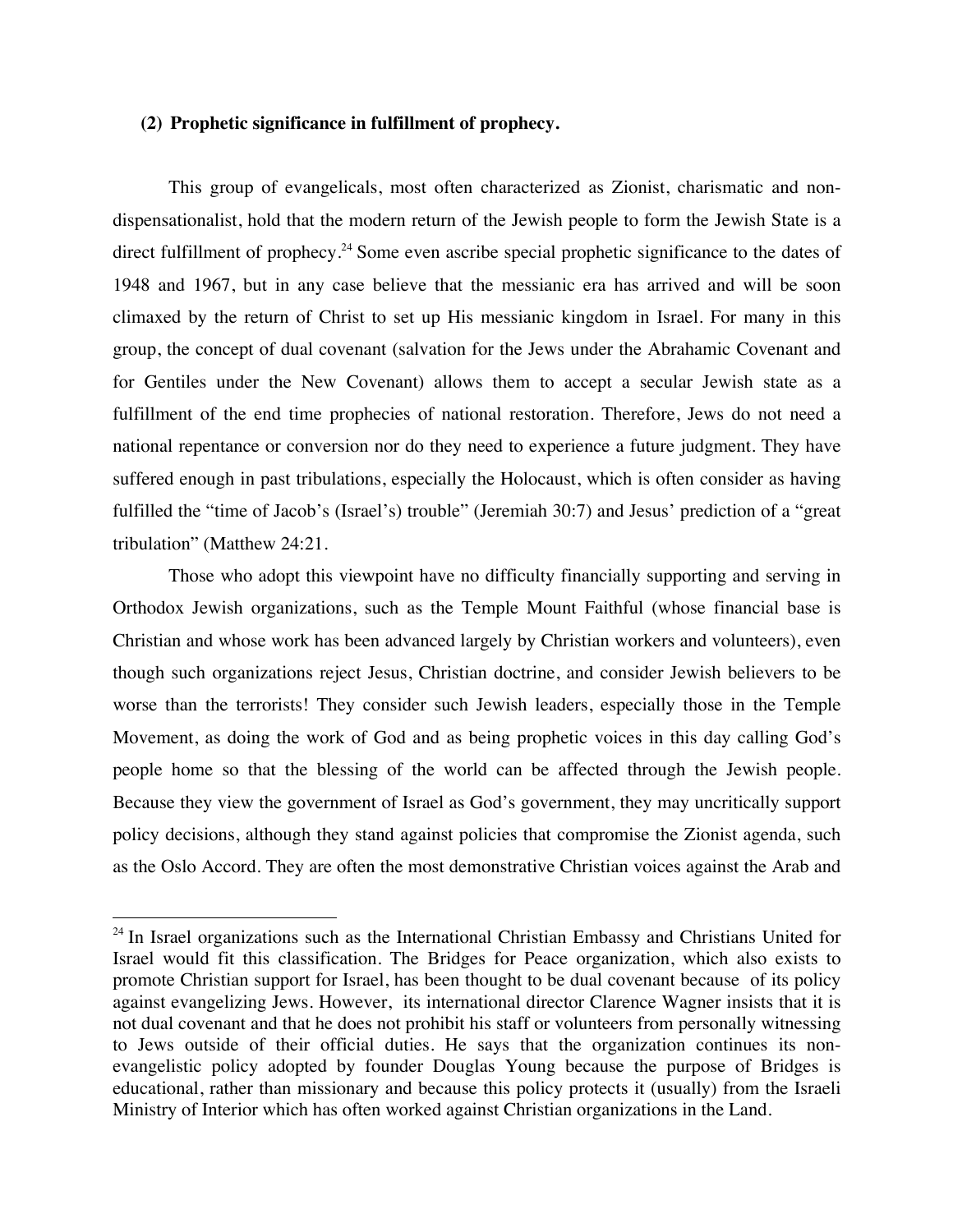# **(2) Prophetic significance in fulfillment of prophecy.**

This group of evangelicals, most often characterized as Zionist, charismatic and nondispensationalist, hold that the modern return of the Jewish people to form the Jewish State is a direct fulfillment of prophecy.<sup>24</sup> Some even ascribe special prophetic significance to the dates of 1948 and 1967, but in any case believe that the messianic era has arrived and will be soon climaxed by the return of Christ to set up His messianic kingdom in Israel. For many in this group, the concept of dual covenant (salvation for the Jews under the Abrahamic Covenant and for Gentiles under the New Covenant) allows them to accept a secular Jewish state as a fulfillment of the end time prophecies of national restoration. Therefore, Jews do not need a national repentance or conversion nor do they need to experience a future judgment. They have suffered enough in past tribulations, especially the Holocaust, which is often consider as having fulfilled the "time of Jacob's (Israel's) trouble" (Jeremiah 30:7) and Jesus' prediction of a "great tribulation" (Matthew 24:21.

Those who adopt this viewpoint have no difficulty financially supporting and serving in Orthodox Jewish organizations, such as the Temple Mount Faithful (whose financial base is Christian and whose work has been advanced largely by Christian workers and volunteers), even though such organizations reject Jesus, Christian doctrine, and consider Jewish believers to be worse than the terrorists! They consider such Jewish leaders, especially those in the Temple Movement, as doing the work of God and as being prophetic voices in this day calling God's people home so that the blessing of the world can be affected through the Jewish people. Because they view the government of Israel as God's government, they may uncritically support policy decisions, although they stand against policies that compromise the Zionist agenda, such as the Oslo Accord. They are often the most demonstrative Christian voices against the Arab and

<sup>&</sup>lt;sup>24</sup> In Israel organizations such as the International Christian Embassy and Christians United for Israel would fit this classification. The Bridges for Peace organization, which also exists to promote Christian support for Israel, has been thought to be dual covenant because of its policy against evangelizing Jews. However, its international director Clarence Wagner insists that it is not dual covenant and that he does not prohibit his staff or volunteers from personally witnessing to Jews outside of their official duties. He says that the organization continues its nonevangelistic policy adopted by founder Douglas Young because the purpose of Bridges is educational, rather than missionary and because this policy protects it (usually) from the Israeli Ministry of Interior which has often worked against Christian organizations in the Land.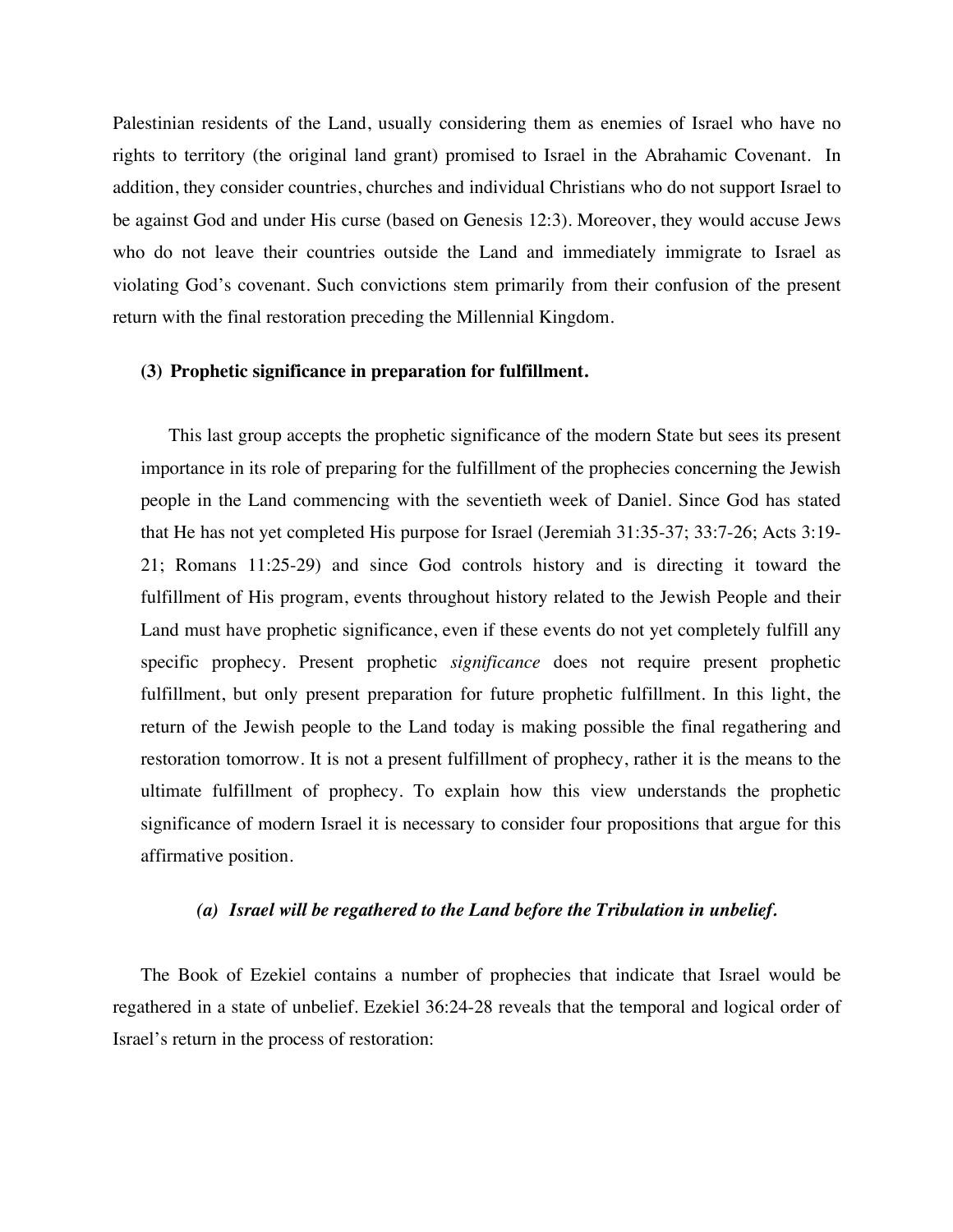Palestinian residents of the Land, usually considering them as enemies of Israel who have no rights to territory (the original land grant) promised to Israel in the Abrahamic Covenant. In addition, they consider countries, churches and individual Christians who do not support Israel to be against God and under His curse (based on Genesis 12:3). Moreover, they would accuse Jews who do not leave their countries outside the Land and immediately immigrate to Israel as violating God's covenant. Such convictions stem primarily from their confusion of the present return with the final restoration preceding the Millennial Kingdom.

#### **(3) Prophetic significance in preparation for fulfillment.**

This last group accepts the prophetic significance of the modern State but sees its present importance in its role of preparing for the fulfillment of the prophecies concerning the Jewish people in the Land commencing with the seventieth week of Daniel. Since God has stated that He has not yet completed His purpose for Israel (Jeremiah 31:35-37; 33:7-26; Acts 3:19- 21; Romans 11:25-29) and since God controls history and is directing it toward the fulfillment of His program, events throughout history related to the Jewish People and their Land must have prophetic significance, even if these events do not yet completely fulfill any specific prophecy. Present prophetic *significance* does not require present prophetic fulfillment, but only present preparation for future prophetic fulfillment. In this light, the return of the Jewish people to the Land today is making possible the final regathering and restoration tomorrow. It is not a present fulfillment of prophecy, rather it is the means to the ultimate fulfillment of prophecy. To explain how this view understands the prophetic significance of modern Israel it is necessary to consider four propositions that argue for this affirmative position.

#### *(a) Israel will be regathered to the Land before the Tribulation in unbelief.*

The Book of Ezekiel contains a number of prophecies that indicate that Israel would be regathered in a state of unbelief. Ezekiel 36:24-28 reveals that the temporal and logical order of Israel's return in the process of restoration: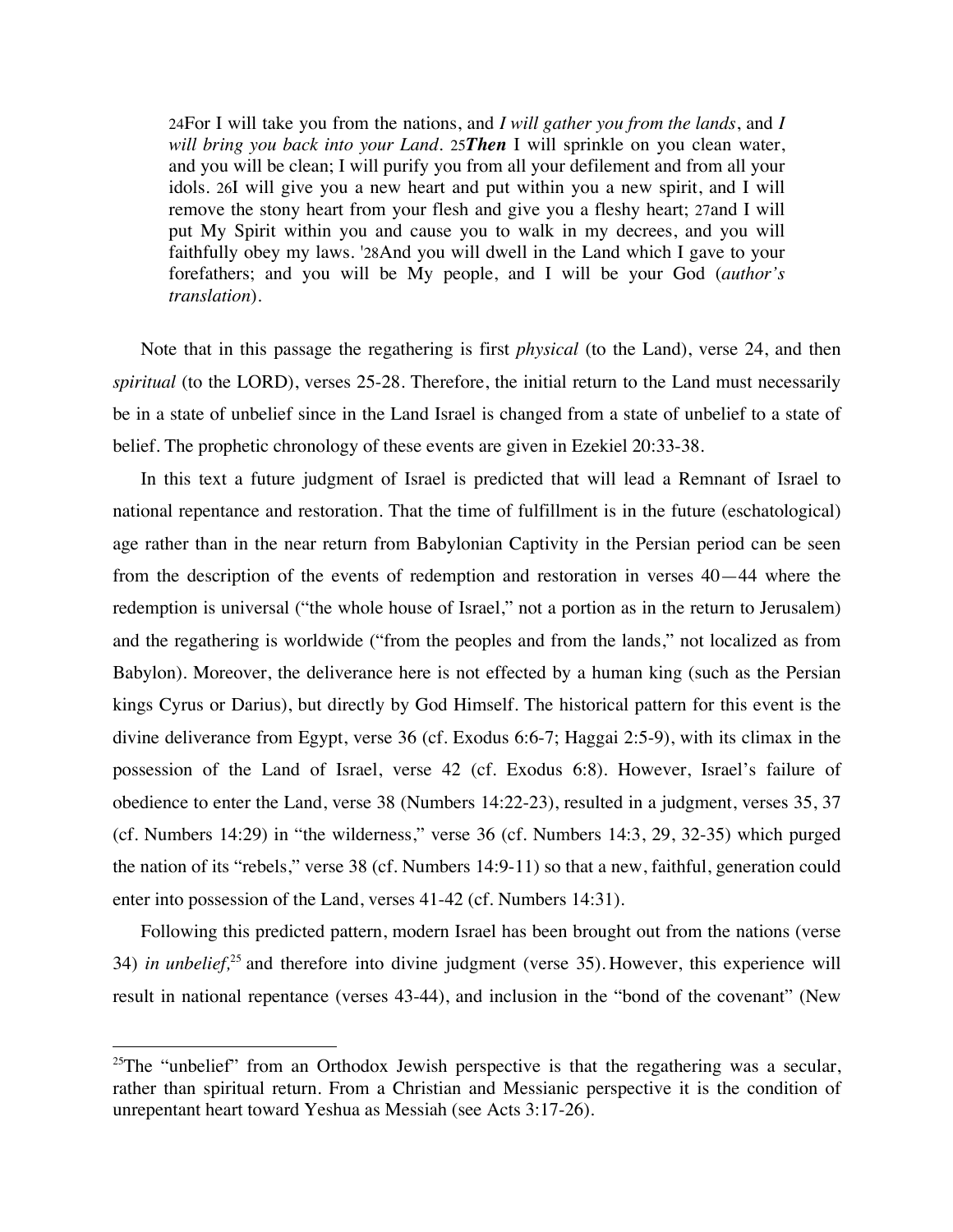24For I will take you from the nations, and *I will gather you from the lands*, and *I will bring you back into your Land*. 25*Then* I will sprinkle on you clean water, and you will be clean; I will purify you from all your defilement and from all your idols. 26I will give you a new heart and put within you a new spirit, and I will remove the stony heart from your flesh and give you a fleshy heart; 27and I will put My Spirit within you and cause you to walk in my decrees, and you will faithfully obey my laws. '28And you will dwell in the Land which I gave to your forefathers; and you will be My people, and I will be your God (*author's translation*).

Note that in this passage the regathering is first *physical* (to the Land), verse 24, and then *spiritual* (to the LORD), verses 25-28. Therefore, the initial return to the Land must necessarily be in a state of unbelief since in the Land Israel is changed from a state of unbelief to a state of belief. The prophetic chronology of these events are given in Ezekiel 20:33-38.

In this text a future judgment of Israel is predicted that will lead a Remnant of Israel to national repentance and restoration. That the time of fulfillment is in the future (eschatological) age rather than in the near return from Babylonian Captivity in the Persian period can be seen from the description of the events of redemption and restoration in verses 40—44 where the redemption is universal ("the whole house of Israel," not a portion as in the return to Jerusalem) and the regathering is worldwide ("from the peoples and from the lands," not localized as from Babylon). Moreover, the deliverance here is not effected by a human king (such as the Persian kings Cyrus or Darius), but directly by God Himself. The historical pattern for this event is the divine deliverance from Egypt, verse 36 (cf. Exodus 6:6-7; Haggai 2:5-9), with its climax in the possession of the Land of Israel, verse 42 (cf. Exodus 6:8). However, Israel's failure of obedience to enter the Land, verse 38 (Numbers 14:22-23), resulted in a judgment, verses 35, 37 (cf. Numbers 14:29) in "the wilderness," verse 36 (cf. Numbers 14:3, 29, 32-35) which purged the nation of its "rebels," verse 38 (cf. Numbers 14:9-11) so that a new, faithful, generation could enter into possession of the Land, verses 41-42 (cf. Numbers 14:31).

Following this predicted pattern, modern Israel has been brought out from the nations (verse 34) *in unbelief,*<sup>25</sup> and therefore into divine judgment (verse 35). However, this experience will result in national repentance (verses 43-44), and inclusion in the "bond of the covenant" (New

<sup>&</sup>lt;sup>25</sup>The "unbelief" from an Orthodox Jewish perspective is that the regathering was a secular, rather than spiritual return. From a Christian and Messianic perspective it is the condition of unrepentant heart toward Yeshua as Messiah (see Acts 3:17-26).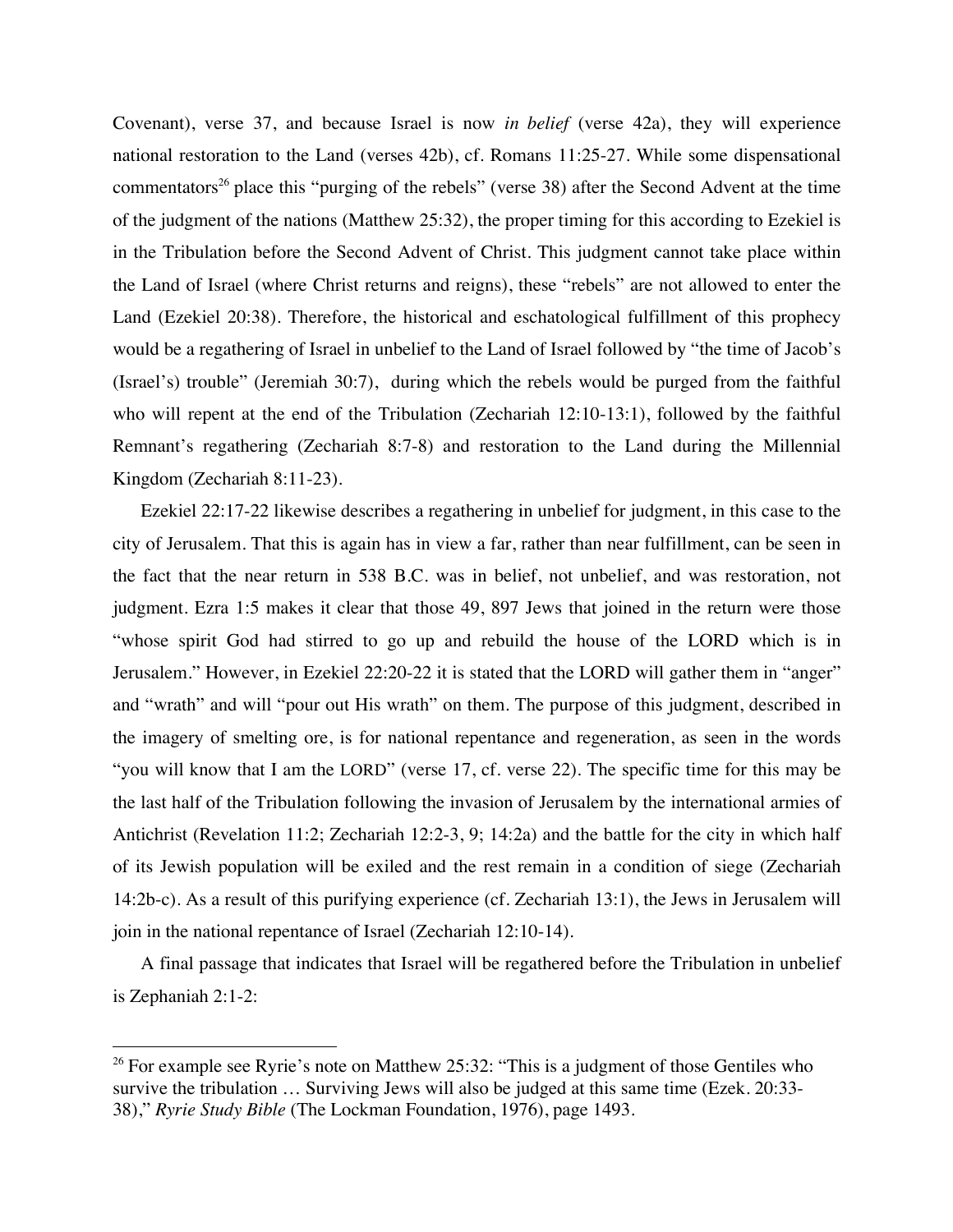Covenant), verse 37, and because Israel is now *in belief* (verse 42a), they will experience national restoration to the Land (verses 42b), cf. Romans 11:25-27. While some dispensational commentators<sup>26</sup> place this "purging of the rebels" (verse 38) after the Second Advent at the time of the judgment of the nations (Matthew 25:32), the proper timing for this according to Ezekiel is in the Tribulation before the Second Advent of Christ. This judgment cannot take place within the Land of Israel (where Christ returns and reigns), these "rebels" are not allowed to enter the Land (Ezekiel 20:38). Therefore, the historical and eschatological fulfillment of this prophecy would be a regathering of Israel in unbelief to the Land of Israel followed by "the time of Jacob's (Israel's) trouble" (Jeremiah 30:7), during which the rebels would be purged from the faithful who will repent at the end of the Tribulation (Zechariah 12:10-13:1), followed by the faithful Remnant's regathering (Zechariah 8:7-8) and restoration to the Land during the Millennial Kingdom (Zechariah 8:11-23).

Ezekiel 22:17-22 likewise describes a regathering in unbelief for judgment, in this case to the city of Jerusalem. That this is again has in view a far, rather than near fulfillment, can be seen in the fact that the near return in 538 B.C. was in belief, not unbelief, and was restoration, not judgment. Ezra 1:5 makes it clear that those 49, 897 Jews that joined in the return were those "whose spirit God had stirred to go up and rebuild the house of the LORD which is in Jerusalem." However, in Ezekiel 22:20-22 it is stated that the LORD will gather them in "anger" and "wrath" and will "pour out His wrath" on them. The purpose of this judgment, described in the imagery of smelting ore, is for national repentance and regeneration, as seen in the words "you will know that I am the LORD" (verse 17, cf. verse 22). The specific time for this may be the last half of the Tribulation following the invasion of Jerusalem by the international armies of Antichrist (Revelation 11:2; Zechariah 12:2-3, 9; 14:2a) and the battle for the city in which half of its Jewish population will be exiled and the rest remain in a condition of siege (Zechariah 14:2b-c). As a result of this purifying experience (cf. Zechariah 13:1), the Jews in Jerusalem will join in the national repentance of Israel (Zechariah 12:10-14).

A final passage that indicates that Israel will be regathered before the Tribulation in unbelief is Zephaniah 2:1-2:

<sup>&</sup>lt;sup>26</sup> For example see Ryrie's note on Matthew 25:32: "This is a judgment of those Gentiles who survive the tribulation … Surviving Jews will also be judged at this same time (Ezek. 20:33- 38)," *Ryrie Study Bible* (The Lockman Foundation, 1976), page 1493.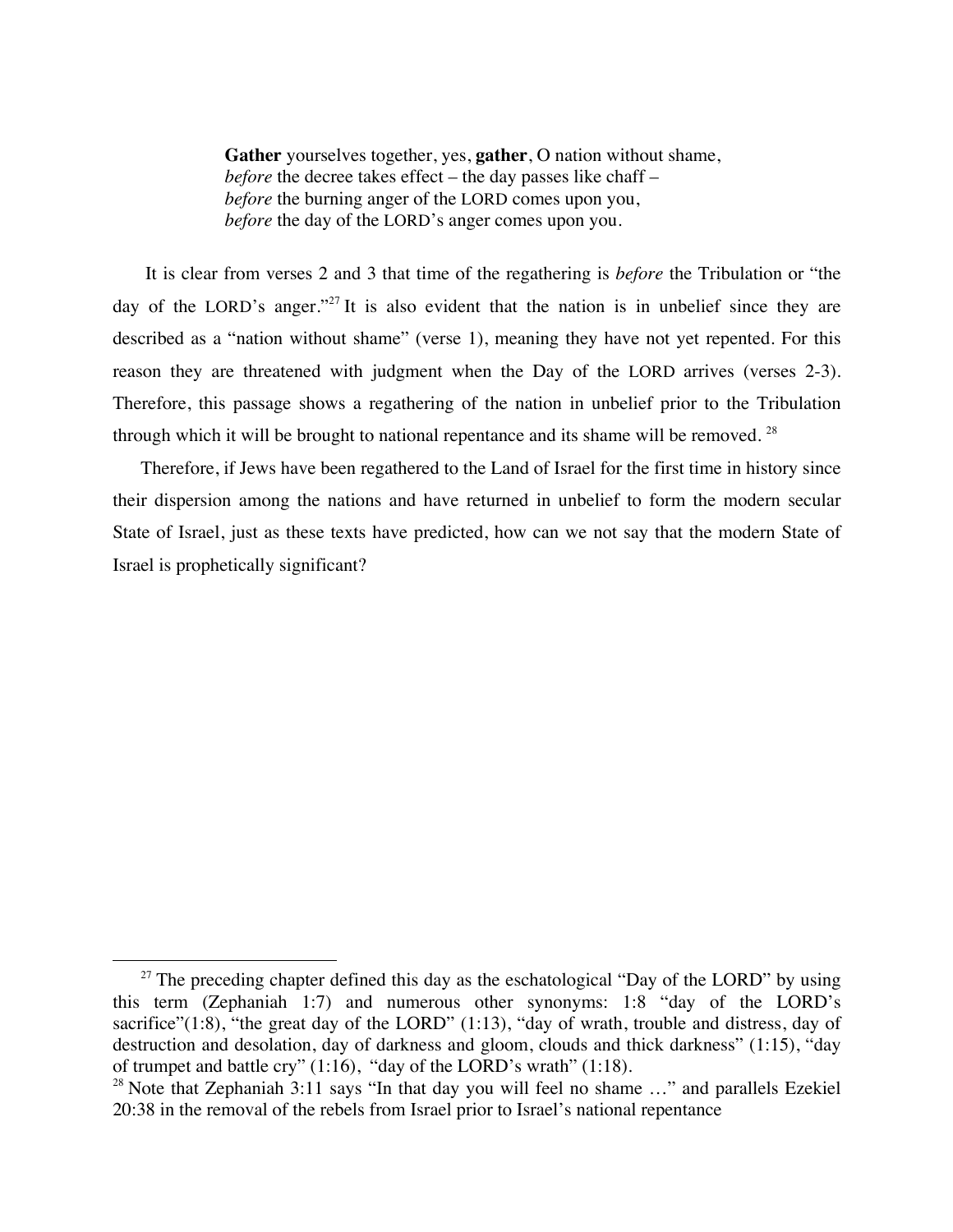**Gather** yourselves together, yes, **gather**, O nation without shame, *before* the decree takes effect – the day passes like chaff – *before* the burning anger of the LORD comes upon you, *before* the day of the LORD's anger comes upon you.

It is clear from verses 2 and 3 that time of the regathering is *before* the Tribulation or "the day of the LORD's anger."<sup>27</sup> It is also evident that the nation is in unbelief since they are described as a "nation without shame" (verse 1), meaning they have not yet repented. For this reason they are threatened with judgment when the Day of the LORD arrives (verses 2-3). Therefore, this passage shows a regathering of the nation in unbelief prior to the Tribulation through which it will be brought to national repentance and its shame will be removed.<sup>28</sup>

Therefore, if Jews have been regathered to the Land of Israel for the first time in history since their dispersion among the nations and have returned in unbelief to form the modern secular State of Israel, just as these texts have predicted, how can we not say that the modern State of Israel is prophetically significant?

 $27$  The preceding chapter defined this day as the eschatological "Day of the LORD" by using this term (Zephaniah 1:7) and numerous other synonyms: 1:8 "day of the LORD's sacrifice"(1:8), "the great day of the LORD" (1:13), "day of wrath, trouble and distress, day of destruction and desolation, day of darkness and gloom, clouds and thick darkness" (1:15), "day of trumpet and battle cry" (1:16), "day of the LORD's wrath" (1:18).

<sup>&</sup>lt;sup>28</sup> Note that Zephaniah 3:11 says "In that day you will feel no shame  $\ldots$ " and parallels Ezekiel 20:38 in the removal of the rebels from Israel prior to Israel's national repentance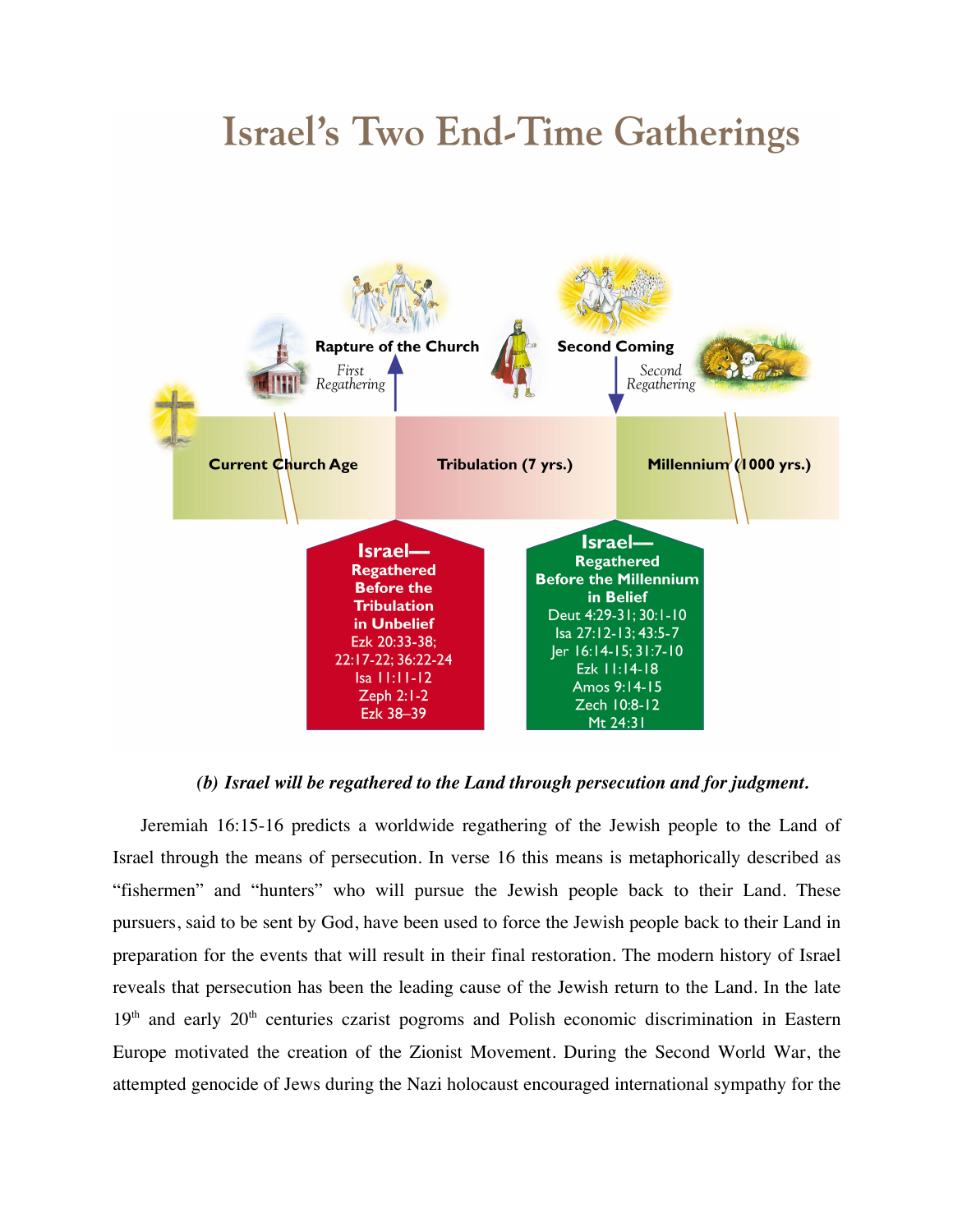# **Israel's Two End-Time Gatherings**



## *(b) Israel will be regathered to the Land through persecution and for judgment.*

Jeremiah 16:15-16 predicts a worldwide regathering of the Jewish people to the Land of Israel through the means of persecution. In verse 16 this means is metaphorically described as "fishermen" and "hunters" who will pursue the Jewish people back to their Land. These pursuers, said to be sent by God, have been used to force the Jewish people back to their Land in preparation for the events that will result in their final restoration. The modern history of Israel reveals that persecution has been the leading cause of the Jewish return to the Land. In the late 19<sup>th</sup> and early 20<sup>th</sup> centuries czarist pogroms and Polish economic discrimination in Eastern Europe motivated the creation of the Zionist Movement. During the Second World War, the attempted genocide of Jews during the Nazi holocaust encouraged international sympathy for the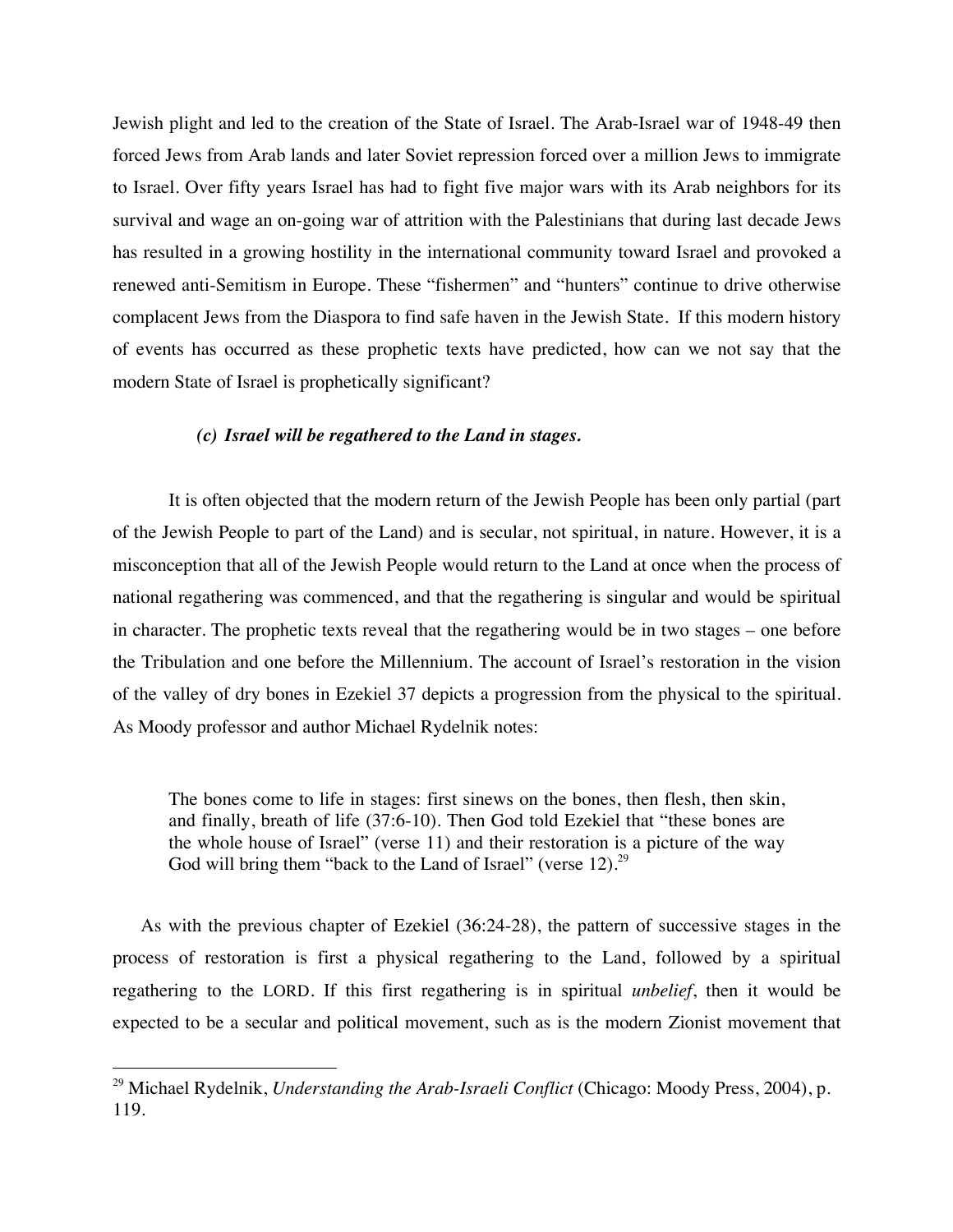Jewish plight and led to the creation of the State of Israel. The Arab-Israel war of 1948-49 then forced Jews from Arab lands and later Soviet repression forced over a million Jews to immigrate to Israel. Over fifty years Israel has had to fight five major wars with its Arab neighbors for its survival and wage an on-going war of attrition with the Palestinians that during last decade Jews has resulted in a growing hostility in the international community toward Israel and provoked a renewed anti-Semitism in Europe. These "fishermen" and "hunters" continue to drive otherwise complacent Jews from the Diaspora to find safe haven in the Jewish State. If this modern history of events has occurred as these prophetic texts have predicted, how can we not say that the modern State of Israel is prophetically significant?

#### *(c) Israel will be regathered to the Land in stages.*

It is often objected that the modern return of the Jewish People has been only partial (part of the Jewish People to part of the Land) and is secular, not spiritual, in nature. However, it is a misconception that all of the Jewish People would return to the Land at once when the process of national regathering was commenced, and that the regathering is singular and would be spiritual in character. The prophetic texts reveal that the regathering would be in two stages – one before the Tribulation and one before the Millennium. The account of Israel's restoration in the vision of the valley of dry bones in Ezekiel 37 depicts a progression from the physical to the spiritual. As Moody professor and author Michael Rydelnik notes:

The bones come to life in stages: first sinews on the bones, then flesh, then skin, and finally, breath of life (37:6-10). Then God told Ezekiel that "these bones are the whole house of Israel" (verse 11) and their restoration is a picture of the way God will bring them "back to the Land of Israel" (verse 12).<sup>29</sup>

As with the previous chapter of Ezekiel (36:24-28), the pattern of successive stages in the process of restoration is first a physical regathering to the Land, followed by a spiritual regathering to the LORD. If this first regathering is in spiritual *unbelief*, then it would be expected to be a secular and political movement, such as is the modern Zionist movement that

 <sup>29</sup> Michael Rydelnik, *Understanding the Arab-Israeli Conflict* (Chicago: Moody Press, 2004), p. 119.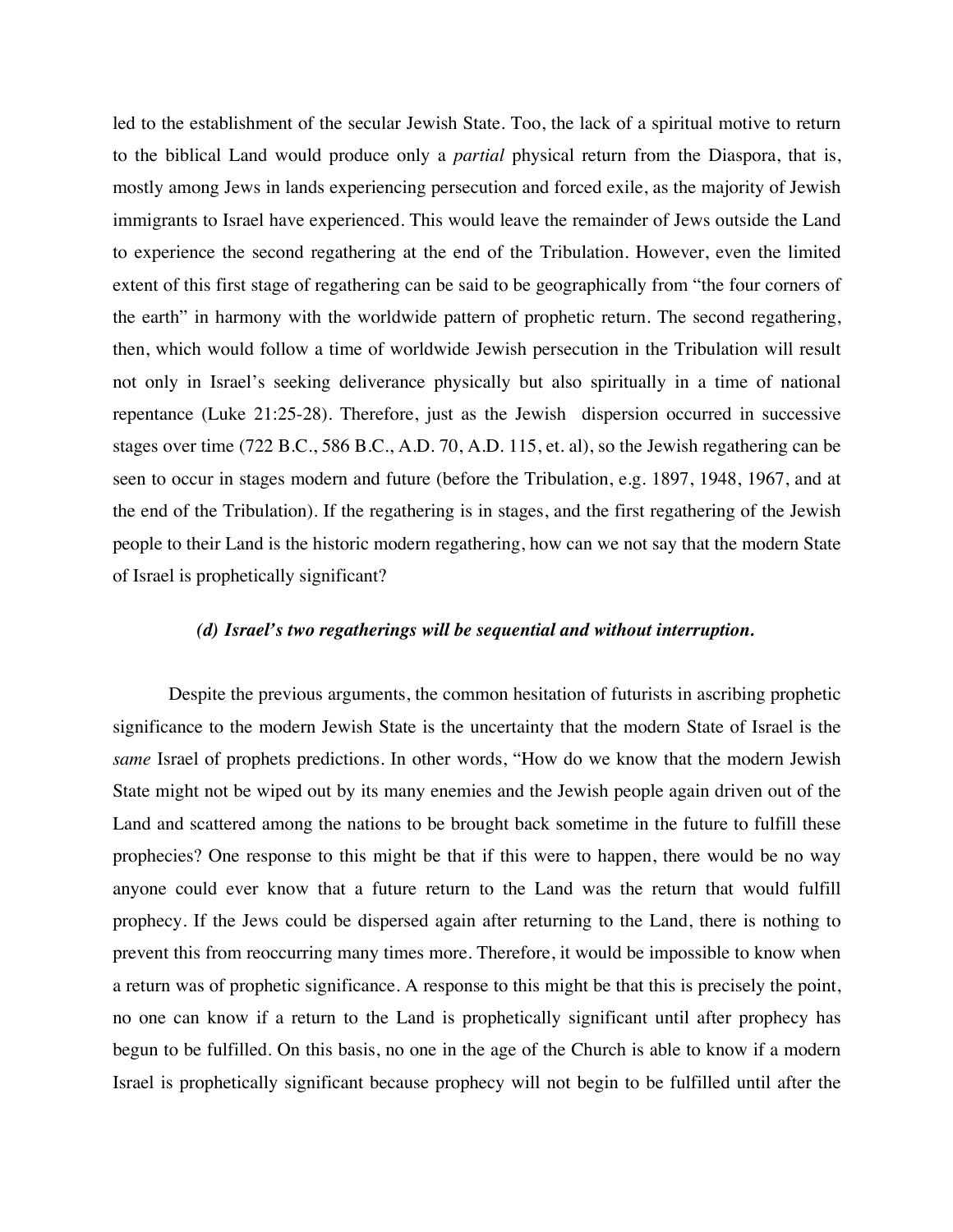led to the establishment of the secular Jewish State. Too, the lack of a spiritual motive to return to the biblical Land would produce only a *partial* physical return from the Diaspora, that is, mostly among Jews in lands experiencing persecution and forced exile, as the majority of Jewish immigrants to Israel have experienced. This would leave the remainder of Jews outside the Land to experience the second regathering at the end of the Tribulation. However, even the limited extent of this first stage of regathering can be said to be geographically from "the four corners of the earth" in harmony with the worldwide pattern of prophetic return. The second regathering, then, which would follow a time of worldwide Jewish persecution in the Tribulation will result not only in Israel's seeking deliverance physically but also spiritually in a time of national repentance (Luke 21:25-28). Therefore, just as the Jewish dispersion occurred in successive stages over time (722 B.C., 586 B.C., A.D. 70, A.D. 115, et. al), so the Jewish regathering can be seen to occur in stages modern and future (before the Tribulation, e.g. 1897, 1948, 1967, and at the end of the Tribulation). If the regathering is in stages, and the first regathering of the Jewish people to their Land is the historic modern regathering, how can we not say that the modern State of Israel is prophetically significant?

#### *(d) Israel's two regatherings will be sequential and without interruption.*

Despite the previous arguments, the common hesitation of futurists in ascribing prophetic significance to the modern Jewish State is the uncertainty that the modern State of Israel is the *same* Israel of prophets predictions. In other words, "How do we know that the modern Jewish State might not be wiped out by its many enemies and the Jewish people again driven out of the Land and scattered among the nations to be brought back sometime in the future to fulfill these prophecies? One response to this might be that if this were to happen, there would be no way anyone could ever know that a future return to the Land was the return that would fulfill prophecy. If the Jews could be dispersed again after returning to the Land, there is nothing to prevent this from reoccurring many times more. Therefore, it would be impossible to know when a return was of prophetic significance. A response to this might be that this is precisely the point, no one can know if a return to the Land is prophetically significant until after prophecy has begun to be fulfilled. On this basis, no one in the age of the Church is able to know if a modern Israel is prophetically significant because prophecy will not begin to be fulfilled until after the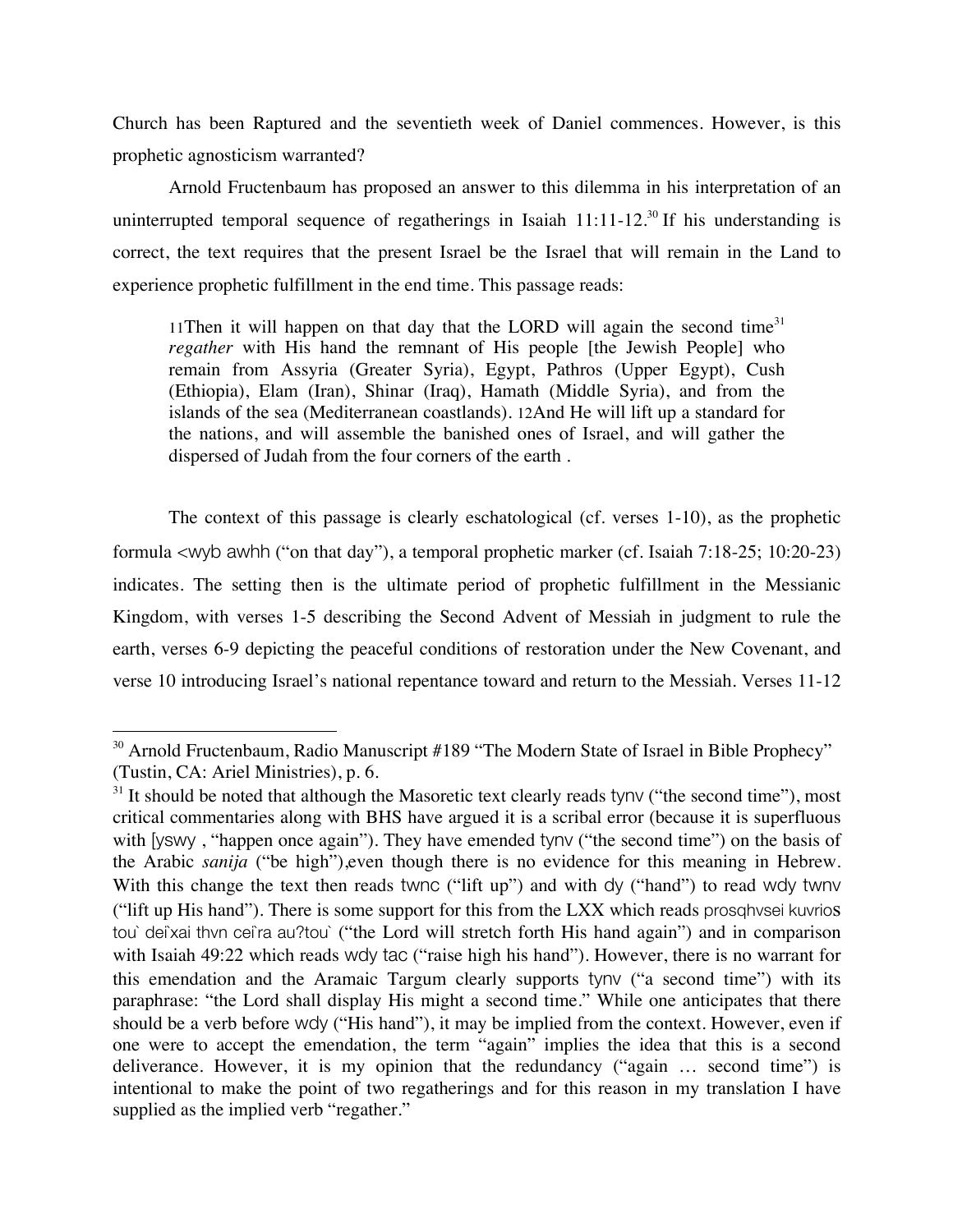Church has been Raptured and the seventieth week of Daniel commences. However, is this prophetic agnosticism warranted?

Arnold Fructenbaum has proposed an answer to this dilemma in his interpretation of an uninterrupted temporal sequence of regatherings in Isaiah  $11:11-12.^{30}$  If his understanding is correct, the text requires that the present Israel be the Israel that will remain in the Land to experience prophetic fulfillment in the end time. This passage reads:

11Then it will happen on that day that the LORD will again the second time $31$ *regather* with His hand the remnant of His people [the Jewish People] who remain from Assyria (Greater Syria), Egypt, Pathros (Upper Egypt), Cush (Ethiopia), Elam (Iran), Shinar (Iraq), Hamath (Middle Syria), and from the islands of the sea (Mediterranean coastlands). 12And He will lift up a standard for the nations, and will assemble the banished ones of Israel, and will gather the dispersed of Judah from the four corners of the earth .

The context of this passage is clearly eschatological (cf. verses 1-10), as the prophetic formula <wyb awhh ("on that day"), a temporal prophetic marker (cf. Isaiah 7:18-25; 10:20-23) indicates. The setting then is the ultimate period of prophetic fulfillment in the Messianic Kingdom, with verses 1-5 describing the Second Advent of Messiah in judgment to rule the earth, verses 6-9 depicting the peaceful conditions of restoration under the New Covenant, and verse 10 introducing Israel's national repentance toward and return to the Messiah. Verses 11-12

<sup>&</sup>lt;sup>30</sup> Arnold Fructenbaum, Radio Manuscript #189 "The Modern State of Israel in Bible Prophecy" (Tustin, CA: Ariel Ministries), p. 6.

 $31$  It should be noted that although the Masoretic text clearly reads tyny ("the second time"), most critical commentaries along with BHS have argued it is a scribal error (because it is superfluous with [VSWV, "happen once again"). They have emended tyny ("the second time") on the basis of the Arabic *sanija* ("be high"),even though there is no evidence for this meaning in Hebrew. With this change the text then reads twnc ("lift up") and with dy ("hand") to read wdy twnv ("lift up His hand"). There is some support for this from the LXX which reads prosqhvsei kuvrios tou` dei`xai thvn cei`ra au?tou` ("the Lord will stretch forth His hand again") and in comparison with Isaiah 49:22 which reads wdy tac ("raise high his hand"). However, there is no warrant for this emendation and the Aramaic Targum clearly supports tynv ("a second time") with its paraphrase: "the Lord shall display His might a second time." While one anticipates that there should be a verb before wdy ("His hand"), it may be implied from the context. However, even if one were to accept the emendation, the term "again" implies the idea that this is a second deliverance. However, it is my opinion that the redundancy ("again … second time") is intentional to make the point of two regatherings and for this reason in my translation I have supplied as the implied verb "regather."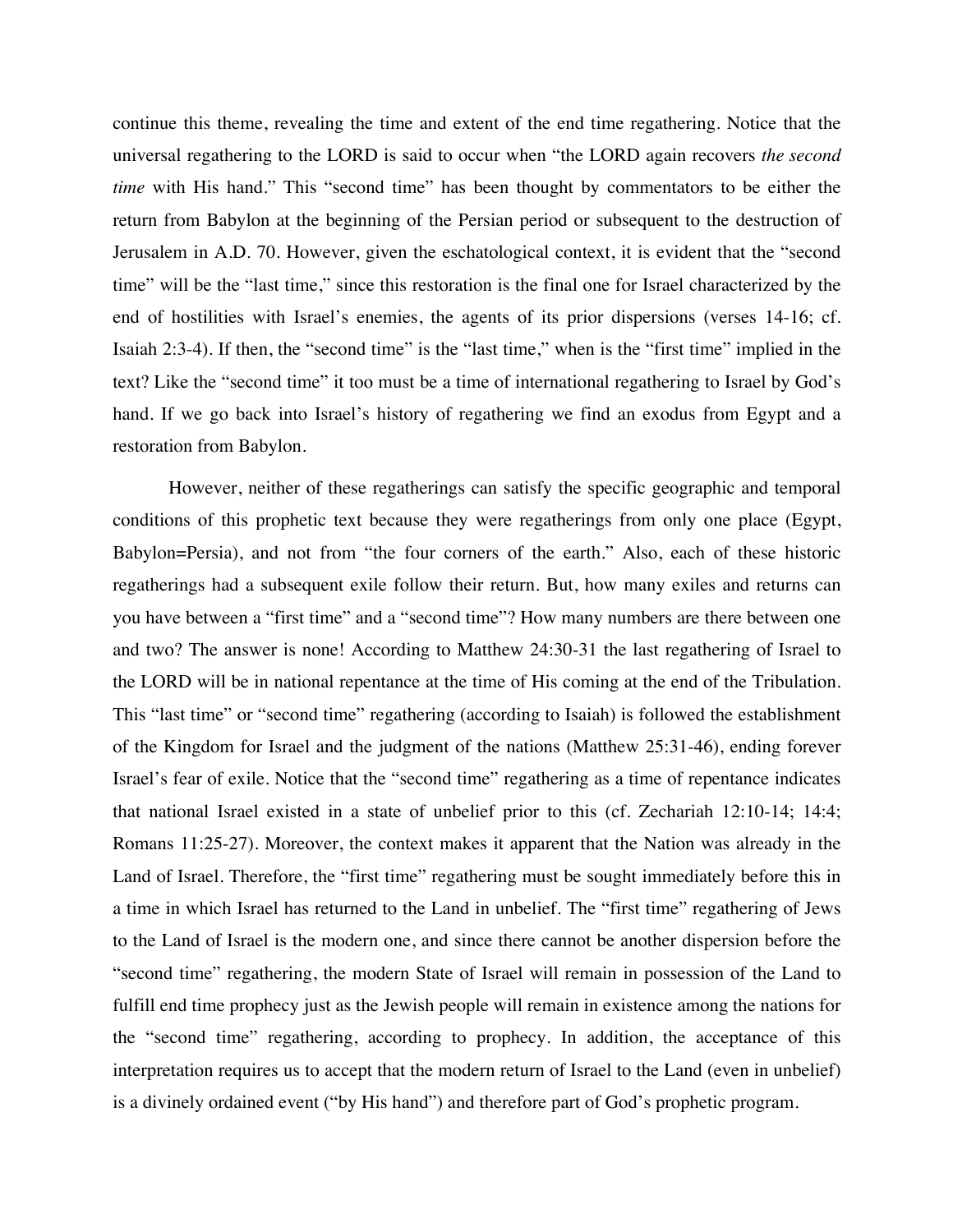continue this theme, revealing the time and extent of the end time regathering. Notice that the universal regathering to the LORD is said to occur when "the LORD again recovers *the second time* with His hand." This "second time" has been thought by commentators to be either the return from Babylon at the beginning of the Persian period or subsequent to the destruction of Jerusalem in A.D. 70. However, given the eschatological context, it is evident that the "second time" will be the "last time," since this restoration is the final one for Israel characterized by the end of hostilities with Israel's enemies, the agents of its prior dispersions (verses 14-16; cf. Isaiah 2:3-4). If then, the "second time" is the "last time," when is the "first time" implied in the text? Like the "second time" it too must be a time of international regathering to Israel by God's hand. If we go back into Israel's history of regathering we find an exodus from Egypt and a restoration from Babylon.

However, neither of these regatherings can satisfy the specific geographic and temporal conditions of this prophetic text because they were regatherings from only one place (Egypt, Babylon=Persia), and not from "the four corners of the earth." Also, each of these historic regatherings had a subsequent exile follow their return. But, how many exiles and returns can you have between a "first time" and a "second time"? How many numbers are there between one and two? The answer is none! According to Matthew 24:30-31 the last regathering of Israel to the LORD will be in national repentance at the time of His coming at the end of the Tribulation. This "last time" or "second time" regathering (according to Isaiah) is followed the establishment of the Kingdom for Israel and the judgment of the nations (Matthew 25:31-46), ending forever Israel's fear of exile. Notice that the "second time" regathering as a time of repentance indicates that national Israel existed in a state of unbelief prior to this (cf. Zechariah 12:10-14; 14:4; Romans 11:25-27). Moreover, the context makes it apparent that the Nation was already in the Land of Israel. Therefore, the "first time" regathering must be sought immediately before this in a time in which Israel has returned to the Land in unbelief. The "first time" regathering of Jews to the Land of Israel is the modern one, and since there cannot be another dispersion before the "second time" regathering, the modern State of Israel will remain in possession of the Land to fulfill end time prophecy just as the Jewish people will remain in existence among the nations for the "second time" regathering, according to prophecy. In addition, the acceptance of this interpretation requires us to accept that the modern return of Israel to the Land (even in unbelief) is a divinely ordained event ("by His hand") and therefore part of God's prophetic program.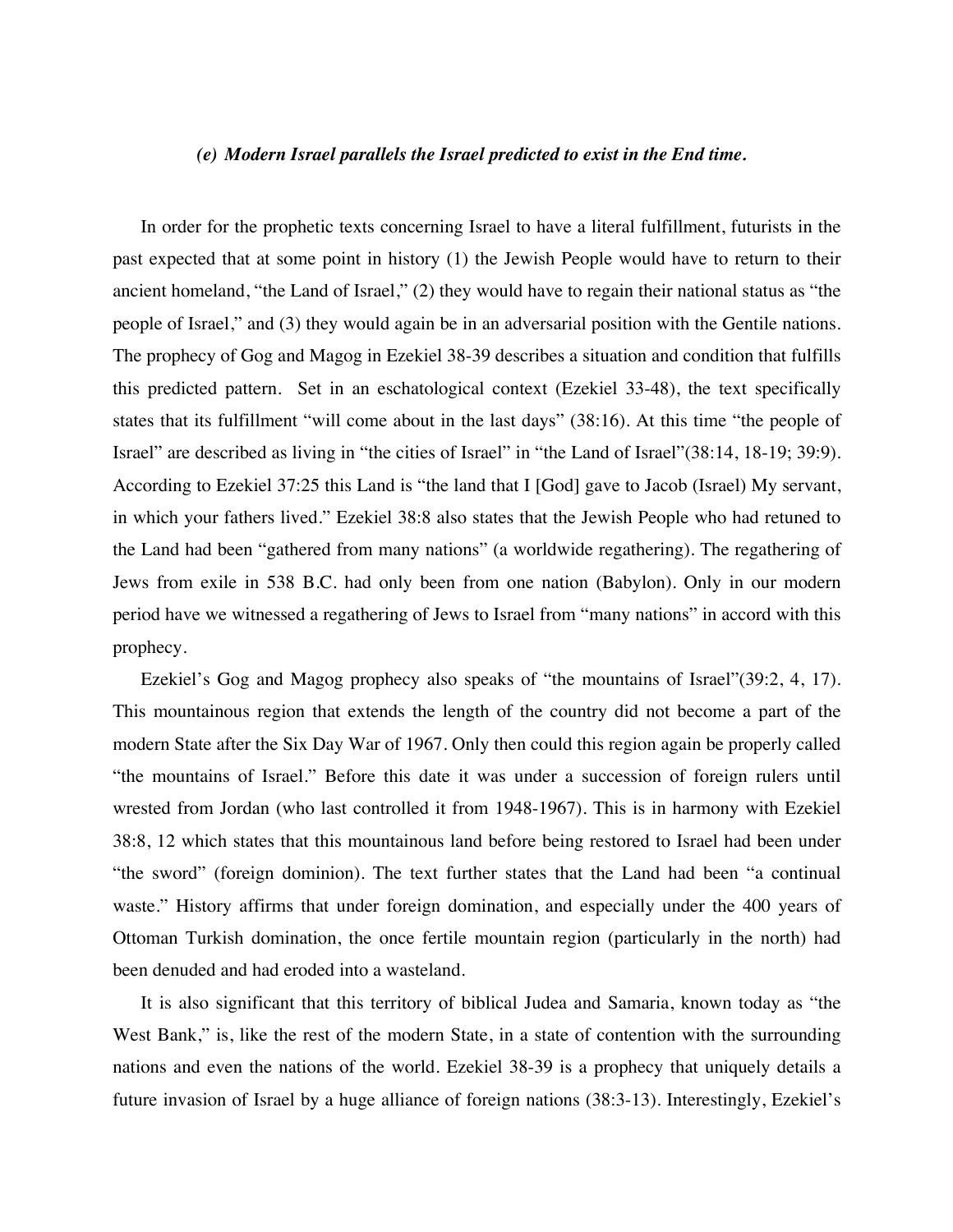#### *(e) Modern Israel parallels the Israel predicted to exist in the End time.*

In order for the prophetic texts concerning Israel to have a literal fulfillment, futurists in the past expected that at some point in history (1) the Jewish People would have to return to their ancient homeland, "the Land of Israel," (2) they would have to regain their national status as "the people of Israel," and (3) they would again be in an adversarial position with the Gentile nations. The prophecy of Gog and Magog in Ezekiel 38-39 describes a situation and condition that fulfills this predicted pattern. Set in an eschatological context (Ezekiel 33-48), the text specifically states that its fulfillment "will come about in the last days" (38:16). At this time "the people of Israel" are described as living in "the cities of Israel" in "the Land of Israel"(38:14, 18-19; 39:9). According to Ezekiel 37:25 this Land is "the land that I [God] gave to Jacob (Israel) My servant, in which your fathers lived." Ezekiel 38:8 also states that the Jewish People who had retuned to the Land had been "gathered from many nations" (a worldwide regathering). The regathering of Jews from exile in 538 B.C. had only been from one nation (Babylon). Only in our modern period have we witnessed a regathering of Jews to Israel from "many nations" in accord with this prophecy.

Ezekiel's Gog and Magog prophecy also speaks of "the mountains of Israel"(39:2, 4, 17). This mountainous region that extends the length of the country did not become a part of the modern State after the Six Day War of 1967. Only then could this region again be properly called "the mountains of Israel." Before this date it was under a succession of foreign rulers until wrested from Jordan (who last controlled it from 1948-1967). This is in harmony with Ezekiel 38:8, 12 which states that this mountainous land before being restored to Israel had been under "the sword" (foreign dominion). The text further states that the Land had been "a continual waste." History affirms that under foreign domination, and especially under the 400 years of Ottoman Turkish domination, the once fertile mountain region (particularly in the north) had been denuded and had eroded into a wasteland.

It is also significant that this territory of biblical Judea and Samaria, known today as "the West Bank," is, like the rest of the modern State, in a state of contention with the surrounding nations and even the nations of the world. Ezekiel 38-39 is a prophecy that uniquely details a future invasion of Israel by a huge alliance of foreign nations (38:3-13). Interestingly, Ezekiel's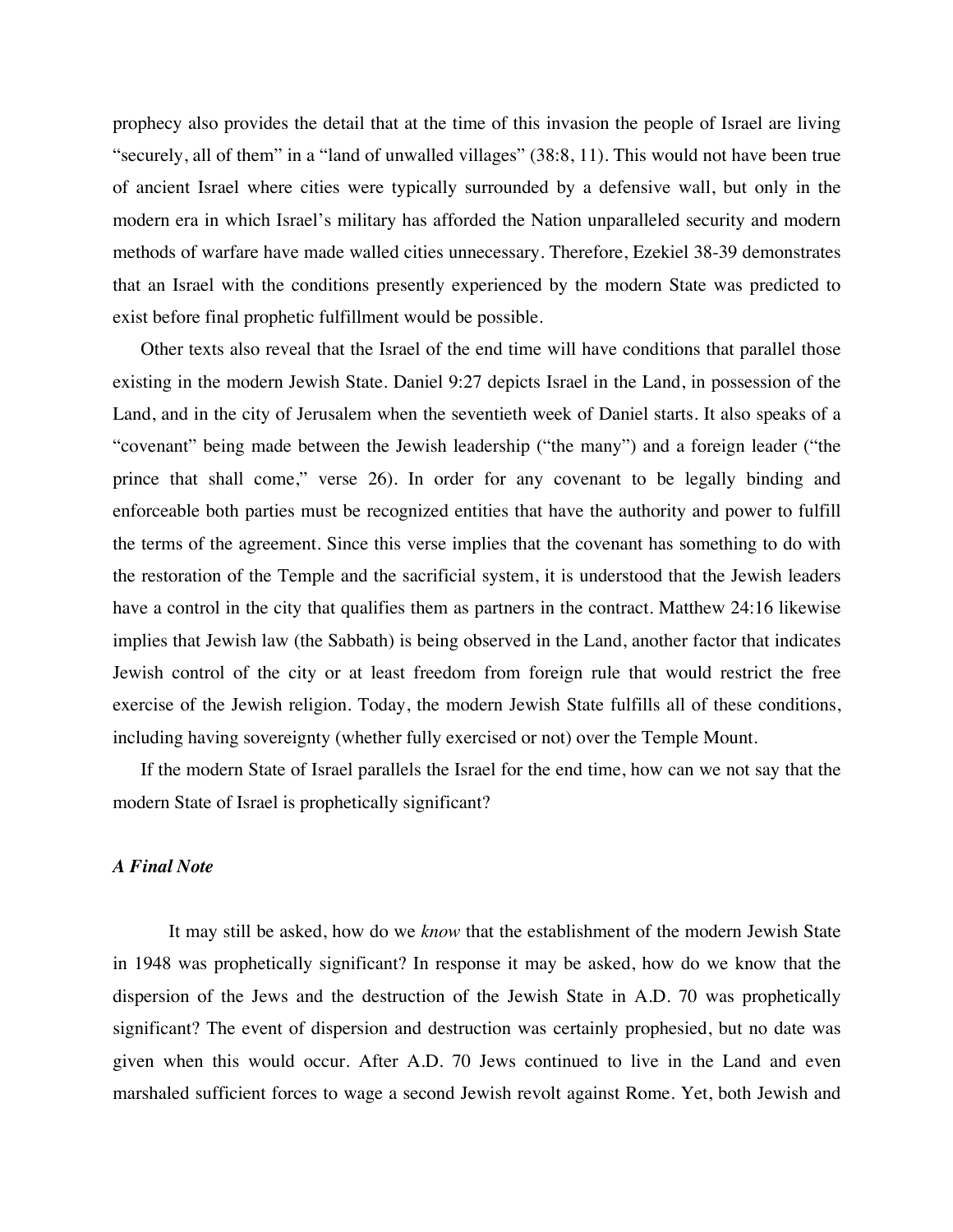prophecy also provides the detail that at the time of this invasion the people of Israel are living "securely, all of them" in a "land of unwalled villages" (38:8, 11). This would not have been true of ancient Israel where cities were typically surrounded by a defensive wall, but only in the modern era in which Israel's military has afforded the Nation unparalleled security and modern methods of warfare have made walled cities unnecessary. Therefore, Ezekiel 38-39 demonstrates that an Israel with the conditions presently experienced by the modern State was predicted to exist before final prophetic fulfillment would be possible.

Other texts also reveal that the Israel of the end time will have conditions that parallel those existing in the modern Jewish State. Daniel 9:27 depicts Israel in the Land, in possession of the Land, and in the city of Jerusalem when the seventieth week of Daniel starts. It also speaks of a "covenant" being made between the Jewish leadership ("the many") and a foreign leader ("the prince that shall come," verse 26). In order for any covenant to be legally binding and enforceable both parties must be recognized entities that have the authority and power to fulfill the terms of the agreement. Since this verse implies that the covenant has something to do with the restoration of the Temple and the sacrificial system, it is understood that the Jewish leaders have a control in the city that qualifies them as partners in the contract. Matthew 24:16 likewise implies that Jewish law (the Sabbath) is being observed in the Land, another factor that indicates Jewish control of the city or at least freedom from foreign rule that would restrict the free exercise of the Jewish religion. Today, the modern Jewish State fulfills all of these conditions, including having sovereignty (whether fully exercised or not) over the Temple Mount.

If the modern State of Israel parallels the Israel for the end time, how can we not say that the modern State of Israel is prophetically significant?

#### *A Final Note*

It may still be asked, how do we *know* that the establishment of the modern Jewish State in 1948 was prophetically significant? In response it may be asked, how do we know that the dispersion of the Jews and the destruction of the Jewish State in A.D. 70 was prophetically significant? The event of dispersion and destruction was certainly prophesied, but no date was given when this would occur. After A.D. 70 Jews continued to live in the Land and even marshaled sufficient forces to wage a second Jewish revolt against Rome. Yet, both Jewish and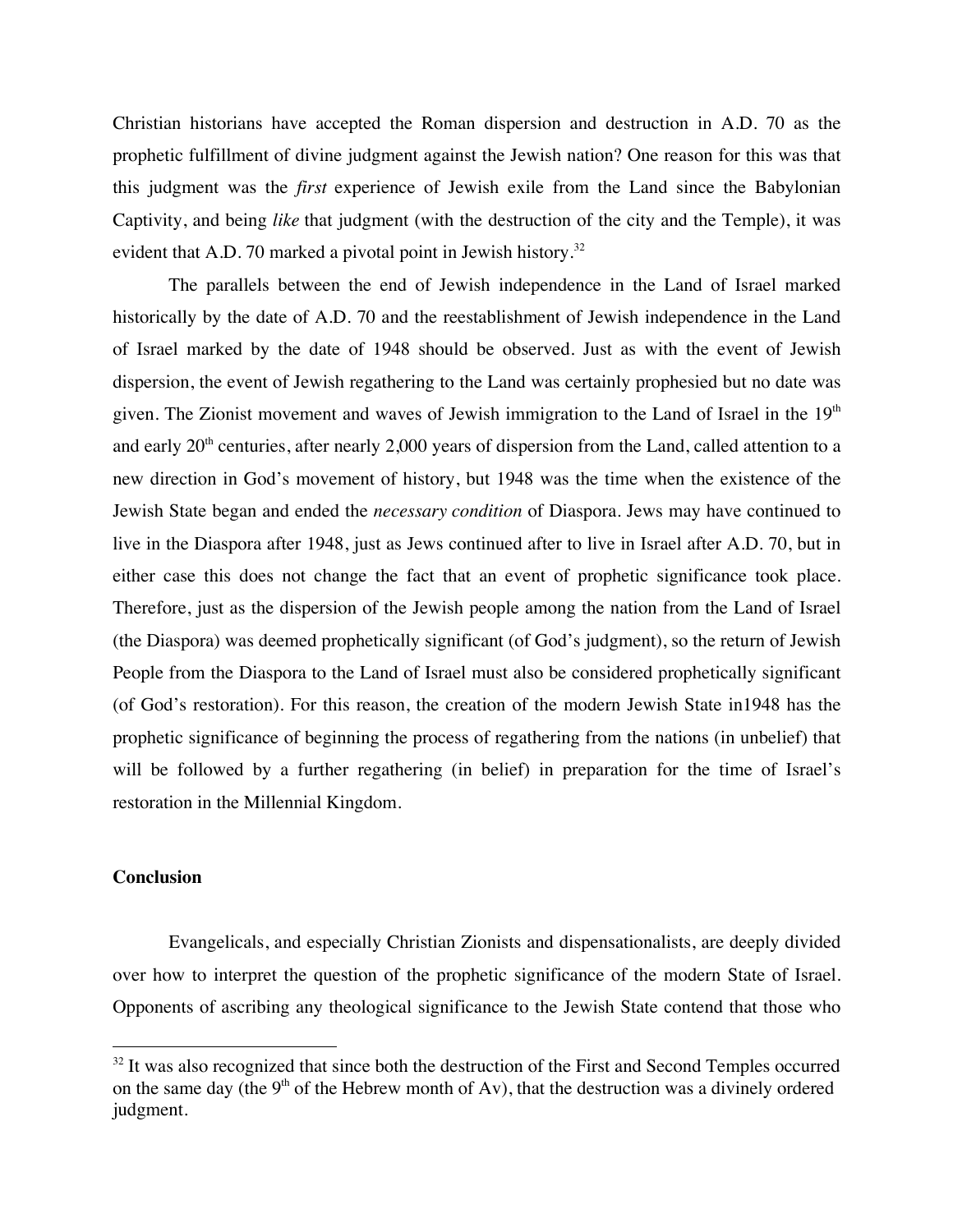Christian historians have accepted the Roman dispersion and destruction in A.D. 70 as the prophetic fulfillment of divine judgment against the Jewish nation? One reason for this was that this judgment was the *first* experience of Jewish exile from the Land since the Babylonian Captivity, and being *like* that judgment (with the destruction of the city and the Temple), it was evident that A.D. 70 marked a pivotal point in Jewish history.<sup>32</sup>

The parallels between the end of Jewish independence in the Land of Israel marked historically by the date of A.D. 70 and the reestablishment of Jewish independence in the Land of Israel marked by the date of 1948 should be observed. Just as with the event of Jewish dispersion, the event of Jewish regathering to the Land was certainly prophesied but no date was given. The Zionist movement and waves of Jewish immigration to the Land of Israel in the  $19<sup>th</sup>$ and early 20<sup>th</sup> centuries, after nearly 2,000 years of dispersion from the Land, called attention to a new direction in God's movement of history, but 1948 was the time when the existence of the Jewish State began and ended the *necessary condition* of Diaspora. Jews may have continued to live in the Diaspora after 1948, just as Jews continued after to live in Israel after A.D. 70, but in either case this does not change the fact that an event of prophetic significance took place. Therefore, just as the dispersion of the Jewish people among the nation from the Land of Israel (the Diaspora) was deemed prophetically significant (of God's judgment), so the return of Jewish People from the Diaspora to the Land of Israel must also be considered prophetically significant (of God's restoration). For this reason, the creation of the modern Jewish State in1948 has the prophetic significance of beginning the process of regathering from the nations (in unbelief) that will be followed by a further regathering (in belief) in preparation for the time of Israel's restoration in the Millennial Kingdom.

## **Conclusion**

Evangelicals, and especially Christian Zionists and dispensationalists, are deeply divided over how to interpret the question of the prophetic significance of the modern State of Israel. Opponents of ascribing any theological significance to the Jewish State contend that those who

 $32$  It was also recognized that since both the destruction of the First and Second Temples occurred on the same day (the  $9<sup>th</sup>$  of the Hebrew month of Av), that the destruction was a divinely ordered judgment.